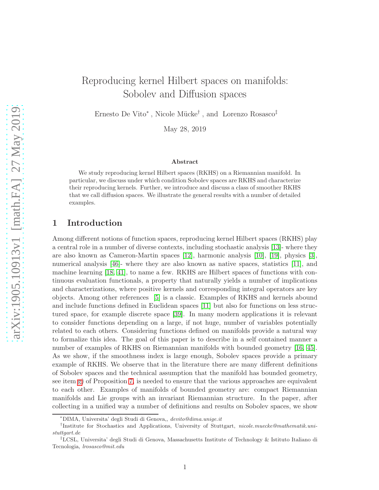# Reproducing kernel Hilbert spaces on manifolds: Sobolev and Diffusion spaces

Ernesto De Vito<sup>\*</sup>, Nicole Mücke<sup>†</sup>, and Lorenzo Rosasco<sup>‡</sup>

May 28, 2019

#### Abstract

We study reproducing kernel Hilbert spaces (RKHS) on a Riemannian manifold. In particular, we discuss under which condition Sobolev spaces are RKHS and characterize their reproducing kernels. Further, we introduce and discuss a class of smoother RKHS that we call diffusion spaces. We illustrate the general results with a number of detailed examples.

# 1 Introduction

Among different notions of function spaces, reproducing kernel Hilbert spaces (RKHS) play a central role in a number of diverse contexts, including stochastic analysis [\[13\]](#page-24-0)- where they are also known as Cameron-Martin spaces [\[12\]](#page-23-0), harmonic analysis [\[10\]](#page-23-1), [\[19\]](#page-24-1), physics [\[3\]](#page-23-2), numerical analysis [\[46\]](#page-26-0)- where they are also known as native spaces, statistics [\[11\]](#page-23-3), and machine learning [\[18,](#page-24-2) [41\]](#page-25-0), to name a few. RKHS are Hilbert spaces of functions with continuous evaluation functionals, a property that naturally yields a number of implications and characterizations, where positive kernels and corresponding integral operators are key objects. Among other references [\[5\]](#page-23-4) is a classic. Examples of RKHS and kernels abound and include functions defined in Euclidean spaces [\[11\]](#page-23-3) but also for functions on less structured space, for example discrete space [\[39\]](#page-25-1). In many modern applications it is relevant to consider functions depending on a large, if not huge, number of variables potentially related to each others. Considering functions defined on manifolds provide a natural way to formalize this idea. The goal of this paper is to describe in a self contained manner a number of examples of RKHS on Riemannian manifolds with bounded geometry [\[16,](#page-24-3) [45\]](#page-25-2). As we show, if the smoothness index is large enough, Sobolev spaces provide a primary example of RKHS. We observe that in the literature there are many different definitions of Sobolev spaces and the technical assumption that the manifold has bounded geometry, see item [g\)](#page-30-0) of Proposition [7,](#page-29-0) is needed to ensure that the various approaches are equivalent to each other. Examples of manifolds of bounded geometry are: compact Riemannian manifolds and Lie groups with an invariant Riemannian structure. In the paper, after collecting in a unified way a number of definitions and results on Sobolev spaces, we show

<sup>∗</sup>DIMA, Universita' degli Studi di Genova,, devito@dima.unige.it

<sup>&</sup>lt;sup>†</sup>Institute for Stochastics and Applications, University of Stuttgart, nicole.muecke@mathematik.unistuttgart.de

<sup>‡</sup>LCSL, Universita' degli Studi di Genova, Massachusetts Institute of Technology & Istituto Italiano di Tecnologia, lrosasco@mit.edu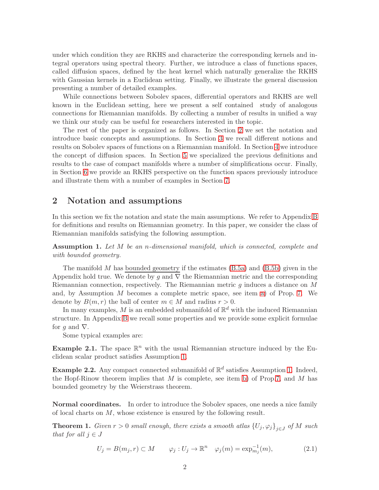under which condition they are RKHS and characterize the corresponding kernels and integral operators using spectral theory. Further, we introduce a class of functions spaces, called diffusion spaces, defined by the heat kernel which naturally generalize the RKHS with Gaussian kernels in a Euclidean setting. Finally, we illustrate the general discussion presenting a number of detailed examples.

While connections between Sobolev spaces, differential operators and RKHS are well known in the Euclidean setting, here we present a self contained study of analogous connections for Riemannian manifolds. By collecting a number of results in unified a way we think our study can be useful for researchers interested in the topic.

The rest of the paper is organized as follows. In Section [2](#page-1-0) we set the notation and introduce basic concepts and assumptions. In Section [3](#page-3-0) we recall different notions and results on Sobolev spaces of functions on a Riemannian manifold. In Section [4](#page-6-0) we introduce the concept of diffusion spaces. In Section [5](#page-8-0) we specialized the previous definitions and results to the case of compact manifolds where a number of simplifications occur. Finally, in Section [6](#page-9-0) we provide an RKHS perspective on the function spaces previously introduce and illustrate them with a number of examples in Section [7.](#page-11-0)

### <span id="page-1-0"></span>2 Notation and assumptions

In this section we fix the notation and state the main assumptions. We refer to Appendix [B](#page-29-1) for definitions and results on Riemannian geometry. In this paper, we consider the class of Riemannian manifolds satisfying the following assumption.

<span id="page-1-1"></span>Assumption 1. Let M be an n-dimensional manifold, which is connected, complete and with bounded geometry.

The manifold  $M$  has bounded geometry if the estimates  $(B.5a)$  and  $(B.5b)$  given in the Appendix hold true. We denote by g and  $\nabla$  the Riemannian metric and the corresponding Riemannian connection, respectively. The Riemannian metric  $g$  induces a distance on  $M$ and, by Assumption M becomes a complete metric space, see item [a\)](#page-29-2) of Prop. [7.](#page-29-0) We denote by  $B(m,r)$  the ball of center  $m \in M$  and radius  $r > 0$ .

In many examples, M is an embedded submanifold of  $\mathbb{R}^d$  with the induced Riemannian structure. In Appendix [B](#page-29-1) we recall some properties and we provide some explicit formulae for g and  $\nabla$ .

Some typical examples are:

**Example 2.1.** The space  $\mathbb{R}^n$  with the usual Riemannian structure induced by the Euclidean scalar product satisfies Assumption [1.](#page-1-1)

**Example 2.2.** Any compact connected submanifold of  $\mathbb{R}^d$  satisfies Assumption [1.](#page-1-1) Indeed, the Hopf-Rinow theorem implies that  $M$  is complete, see item [b\)](#page-29-3) of Prop[.7,](#page-29-0) and  $M$  has bounded geometry by the Weierstrass theorem.

Normal coordinates. In order to introduce the Sobolev spaces, one needs a nice family of local charts on  $M$ , whose existence is ensured by the following result.

<span id="page-1-2"></span>**Theorem 1.** Given  $r > 0$  small enough, there exists a smooth atlas  $\{U_j, \varphi_j\}_{j \in J}$  of M such that for all  $j \in J$ 

<span id="page-1-3"></span>
$$
U_j = B(m_j, r) \subset M \qquad \varphi_j : U_j \to \mathbb{R}^n \quad \varphi_j(m) = \exp_{m_j}^{-1}(m), \tag{2.1}
$$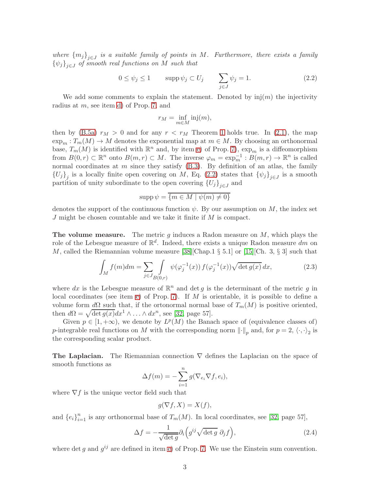where  ${m_j}_{j\in J}$  is a suitable family of points in M. Furthermore, there exists a family  $\{\psi_j\}_{j\in J}$  of smooth real functions on M such that

<span id="page-2-0"></span>
$$
0 \le \psi_j \le 1 \qquad \text{supp}\,\psi_j \subset U_j \qquad \sum_{j \in J} \psi_j = 1. \tag{2.2}
$$

We add some comments to explain the statement. Denoted by  $\text{inj}(m)$  the injectivity radius at m, see item [d\)](#page-29-4) of Prop. [7,](#page-29-0) and

$$
r_M = \inf_{m \in M} \text{inj}(m),
$$

then by [\(B.5a\)](#page-30-1)  $r_M > 0$  and for any  $r < r_M$  Theorem [1](#page-1-2) holds true. In [\(2.1\)](#page-1-3), the map  $\exp_m: T_m(M) \to M$  denotes the exponential map at  $m \in M$ . By choosing an orthonormal base,  $T_m(M)$  is identified with  $\mathbb{R}^n$  and, by item [e\)](#page-30-3) of Prop. [7\)](#page-29-0),  $\exp_m$  is a diffeomorphism from  $B(0,r) \subset \mathbb{R}^n$  onto  $B(m,r) \subset M$ . The inverse  $\varphi_m = \exp_m^{-1} : B(m,r) \to \mathbb{R}^n$  is called normal coordinates at  $m$  since they satisfy  $(B.3)$ . By definition of an atlas, the family  ${U_j}_j$  is a locally finite open covering on M, Eq. [\(2.2\)](#page-2-0) states that  ${\psi_j}_{j\in J}$  is a smooth partition of unity subordinate to the open covering  ${U_j}_{j \in J}$  and

$$
\operatorname{supp} \psi = \overline{\{m \in M \mid \psi(m) \neq 0\}}
$$

denotes the support of the continuous function  $\psi$ . By our assumption on M, the index set  $J$  might be chosen countable and we take it finite if  $M$  is compact.

The volume measure. The metric  $g$  induces a Radon measure on  $M$ , which plays the role of the Lebesgue measure of  $\mathbb{R}^d$ . Indeed, there exists a unique Radon measure  $dm$  on M, called the Riemannian volume measure [\[38\]](#page-25-3)[Chap.1  $\S 5.1$ ] or [\[15\]](#page-24-4)[Ch. 3,  $\S 3$ ] such that

$$
\int_{M} f(m) dm = \sum_{j \in J} \int_{B(0,r)} \psi(\varphi_{j}^{-1}(x)) f(\varphi_{j}^{-1}(x)) \sqrt{\det g(x)} dx, \tag{2.3}
$$

where dx is the Lebesgue measure of  $\mathbb{R}^n$  and det g is the determinant of the metric g in local coordinates (see item [e\)](#page-30-3) of Prop. [7\)](#page-29-0). If  $M$  is orientable, it is possible to define a volume form  $d\Omega$  such that, if the ortonormal normal base of  $T_m(M)$  is positive oriented, then  $d\Omega = \sqrt{\det g(x)}dx^1 \wedge \ldots \wedge dx^n$ , see [\[32,](#page-25-4) page 57].

Given  $p \in [1, +\infty)$ , we denote by  $L^p(M)$  the Banach space of (equivalence classes of) *p*-integrable real functions on M with the corresponding norm  $\lVert \cdot \rVert_p$  and, for  $p = 2, \langle \cdot, \cdot \rangle_2$  is the corresponding scalar product.

**The Laplacian.** The Riemannian connection  $\nabla$  defines the Laplacian on the space of smooth functions as

$$
\Delta f(m) = -\sum_{i=1}^{n} g(\nabla_{e_i} \nabla f, e_i),
$$

where  $\nabla f$  is the unique vector field such that

$$
g(\nabla f, X) = X(f),
$$

and  ${e_i}_{i=1}^n$  is any orthonormal base of  $T_m(M)$ . In local coordinates, see [\[32,](#page-25-4) page 57],

$$
\Delta f = -\frac{1}{\sqrt{\det g}} \partial_i \left( g^{ij} \sqrt{\det g} \partial_j f \right), \tag{2.4}
$$

where det g and  $g^{ij}$  are defined in item [e\)](#page-30-3) of Prop. [7.](#page-29-0) We use the Einstein sum convention.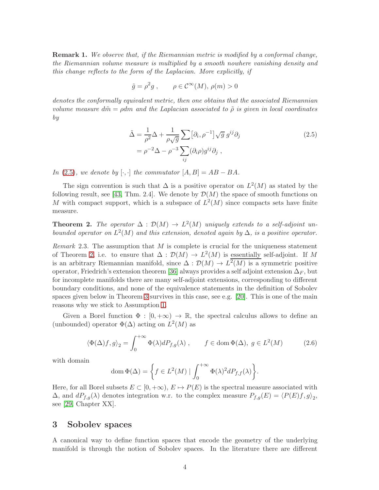Remark 1. We observe that, if the Riemannian metric is modified by a conformal change, the Riemannian volume measure is multiplied by a smooth nowhere vanishing density and this change reflects to the form of the Laplacian. More explicitly, if

$$
\tilde{g} = \rho^2 g
$$
,  $\rho \in C^{\infty}(M)$ ,  $\rho(m) > 0$ 

denotes the conformally equivalent metric, then one obtains that the associated Riemannian volume measure dm̃ =  $\rho$ dm and the Laplacian associated to  $\tilde{\rho}$  is given in local coordinates by

<span id="page-3-1"></span>
$$
\tilde{\Delta} = \frac{1}{\rho^2} \Delta + \frac{1}{\rho \sqrt{g}} \sum [\partial_i, \rho^{-1}] \sqrt{g} \ g^{ij} \partial_j
$$
\n
$$
= \rho^{-2} \Delta - \rho^{-3} \sum_{ij} (\partial_i \rho) g^{ij} \partial_j ,
$$
\n(2.5)

In [\(2.5\)](#page-3-1), we denote by [ $\cdot$ , $\cdot$ ] the commutator  $[A, B] = AB - BA$ .

The sign convention is such that  $\Delta$  is a positive operator on  $L^2(M)$  as stated by the following result, see [\[43,](#page-25-5) Thm. 2.4]. We denote by  $\mathcal{D}(M)$  the space of smooth functions on M with compact support, which is a subspace of  $L^2(M)$  since compacts sets have finite measure.

<span id="page-3-2"></span>**Theorem 2.** The operator  $\Delta : \mathcal{D}(M) \to L^2(M)$  uniquely extends to a self-adjoint unbounded operator on  $L^2(M)$  and this extension, denoted again by  $\Delta$ , is a positive operator.

Remark 2.3. The assumption that  $M$  is complete is crucial for the uniqueness statement of Theorem [2,](#page-3-2) i.e. to ensure that  $\Delta : \mathcal{D}(M) \to L^2(M)$  is essentially self-adjoint. If M is an arbitrary Riemannian manifold, since  $\Delta : \mathcal{D}(M) \to L^2(M)$  is a symmetric positive operator, Friedrich's extension theorem [\[36\]](#page-25-6) always provides a self adjoint extension  $\Delta_F$ , but for incomplete manifolds there are many self-adjoint extensions, corresponding to different boundary conditions, and none of the equivalence statements in the definition of Sobolev spaces given below in Theorem [3](#page-4-0) survives in this case, see e.g. [\[20\]](#page-24-5). This is one of the main reasons why we stick to Assumption [1.](#page-1-1)

Given a Borel function  $\Phi : [0, +\infty) \to \mathbb{R}$ , the spectral calculus allows to define an (unbounded) operator  $\Phi(\Delta)$  acting on  $L^2(M)$  as

<span id="page-3-3"></span>
$$
\langle \Phi(\Delta)f, g \rangle_2 = \int_0^{+\infty} \Phi(\lambda) dP_{f,g}(\lambda) , \qquad f \in \text{dom}\,\Phi(\Delta), \ g \in L^2(M) \tag{2.6}
$$

with domain

dom 
$$
\Phi(\Delta) = \left\{ f \in L^2(M) \mid \int_0^{+\infty} \Phi(\lambda)^2 dP_{f,f}(\lambda) \right\}.
$$

Here, for all Borel subsets  $E \subset [0, +\infty)$ ,  $E \mapsto P(E)$  is the spectral measure associated with  $\Delta$ , and  $dP_{f,g}(\lambda)$  denotes integration w.r. to the complex measure  $P_{f,g}(E) = \langle P(E)f, g \rangle_2$ , see [\[29,](#page-25-7) Chapter XX].

### <span id="page-3-0"></span>3 Sobolev spaces

A canonical way to define function spaces that encode the geometry of the underlying manifold is through the notion of Sobolev spaces. In the literature there are different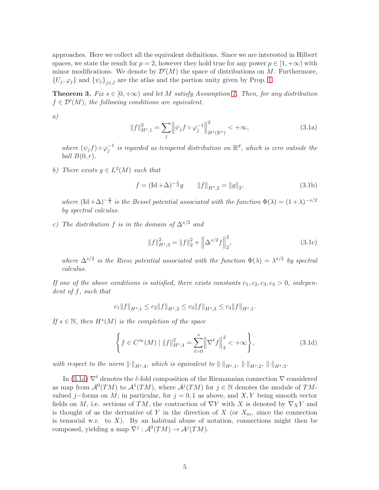approaches. Here we collect all the equivalent definitions. Since we are interested in Hilbert spaces, we state the result for  $p = 2$ , however they hold true for any power  $p \in [1, +\infty)$  with minor modifications. We denote by  $\mathcal{D}'(M)$  the space of distributions on M. Furthermore,  $\{U_j, \varphi_j\}$  and  $\{\psi_j\}_{j\in J}$  are the atlas and the partion unity given by Prop. [1.](#page-1-2)

<span id="page-4-0"></span>**Theorem 3.** Fix  $s \in [0, +\infty)$  and let M satisfy Assumption [1.](#page-1-1) Then, for any distribution  $f \in \mathcal{D}'(M)$ , the following conditions are equivalent.

a)

<span id="page-4-2"></span>
$$
||f||_{H^{s},1}^{2} = \sum_{j} \left||\psi_{j} f \circ \varphi_{j}^{-1} \right||_{H^{s}(\mathbb{R}^{n})}^{2} < +\infty, \tag{3.1a}
$$

where  $(\psi_j f) \circ \varphi_j^{-1}$  is regarded as tempered distribution on  $\mathbb{R}^d$ , which is zero outside the ball  $B(0, r)$ .

b) There exists  $g \in L^2(M)$  such that

<span id="page-4-3"></span>
$$
f = (\text{Id} + \Delta)^{-\frac{s}{2}}g \qquad \|f\|_{H^{s},2} = \|g\|_{2},\tag{3.1b}
$$

where  $(\mathrm{Id} + \Delta)^{-\frac{s}{2}}$  is the Bessel potential associated with the function  $\Phi(\lambda) = (1 + \lambda)^{-s/2}$ by spectral calculus.

c) The distribution f is in the domain of  $\Delta^{s/2}$  and

<span id="page-4-4"></span>
$$
||f||_{H^{s},3}^{2} = ||f||_{2}^{2} + \left||\Delta^{s/2}f\right||_{2}^{2},
$$
\n(3.1c)

where  $\Delta^{s/2}$  is the Riesz potential associated with the function  $\Phi(\lambda) = \lambda^{s/2}$  by spectral calculus.

If one of the above conditions is satisfied, there exists constants  $c_1, c_2, c_3, c_4 > 0$ , independent of f, such that

$$
c_1\|f\|_{H^s,1} \le c_2\|f\|_{H^s,2} \le c_3\|f\|_{H^s,3} \le c_4\|f\|_{H^s,1}.
$$

If  $s \in \mathbb{N}$ , then  $H^s(M)$  is the completion of the space

<span id="page-4-1"></span>
$$
\left\{ f \in C^{\infty}(M) \mid ||f||_{H^{s},4}^{2} = \sum_{\ell=0}^{s} \left\| \nabla^{\ell} f \right\|_{2}^{2} < +\infty \right\},\tag{3.1d}
$$

with respect to the norm  $\lVert \cdot \rVert_{H^s,4}$ , which is equivalent to  $\lVert \cdot \rVert_{H^s,1}$ ,  $\lVert \cdot \rVert_{H^s,2}$ ,  $\lVert \cdot \rVert_{H^s,3}$ .

In [\(3.1d\)](#page-4-1)  $\nabla^{\ell}$  denotes the  $\ell$ -fold composition of the Riemannian connection  $\nabla$  considered as map from  $\mathcal{A}^0(TM)$  to  $\mathcal{A}^1(TM)$ , where  $\mathcal{A}^j(TM)$  for  $j \in \mathbb{N}$  denotes the module of TMvalued j–forms on M; in particular, for  $j = 0, 1$  as above, and X, Y being smooth vector fields on M, i.e. sections of TM, the contraction of  $\nabla Y$  with X is denoted by  $\nabla_X Y$  and is thought of as the derivative of Y in the direction of X (or  $X_m$ , since the connection is tensorial w.r. to  $X$ ). By an habitual abuse of notation, connections might then be composed, yielding a map  $\nabla^j : \mathcal{A}^0(TM) \to \mathcal{A}^j(TM)$ .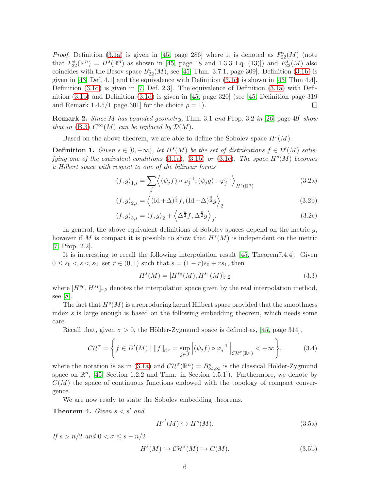*Proof.* Definition [\(3.1a\)](#page-4-2) is given in [\[45,](#page-25-2) page 286] where it is denoted as  $F_{22}^{s}(M)$  (note that  $F_{22}^{s}(\mathbb{R}^{n}) = H^{s}(\mathbb{R}^{n})$  as shown in [\[45,](#page-25-2) page 18 and 1.3.3 Eq. (13)]) and  $F_{22}^{s}(M)$  also coincides with the Besov space  $B_{22}^{s}(M)$ , see [\[45,](#page-25-2) Thm. 3.7.1, page 309]. Definition [\(3.1b\)](#page-4-3) is given in  $[43,$  Def. 4.1] and the equivalence with Definition  $(3.1c)$  is shown in  $[43,$  Thm 4.4]. Definition [\(3.1d\)](#page-4-1) is given in [\[7,](#page-23-5) Def. 2.3]. The equivalence of Definition [\(3.1a\)](#page-4-2) with Definition [\(3.1b\)](#page-4-3) and Definition [\(3.1d\)](#page-4-1) is given in [\[45,](#page-25-2) page 320] (see [\[45,](#page-25-2) Definition page 319 and Remark 1.4.5/1 page 301] for the choice  $\rho = 1$ . □

Remark 2. Since M has bounded geometry, Thm. 3.1 and Prop. 3.2 in [\[26,](#page-24-6) page 49] show that in [\(B.3\)](#page-30-4)  $C^{\infty}(M)$  can be replaced by  $\mathcal{D}(M)$ .

Based on the above theorem, we are able to define the Sobolev space  $H<sup>s</sup>(M)$ .

**Definition 1.** Given  $s \in [0, +\infty)$ , let  $H^s(M)$  be the set of distributions  $f \in \mathcal{D}'(M)$  satisfying one of the equivalent conditions  $(3.1a)$ ,  $(3.1b)$  or  $(3.1c)$ . The space  $H<sup>s</sup>(M)$  becomes a Hilbert space with respect to one of the bilinear forms

$$
\langle f, g \rangle_{1,s} = \sum_{j} \left\langle (\psi_j f) \circ \varphi_j^{-1}, (\psi_j g) \circ \varphi_j^{-1} \right\rangle_{H^s(\mathbb{R}^n)}
$$
(3.2a)

$$
\langle f, g \rangle_{2,s} = \left\langle (\text{Id} + \Delta)^{\frac{s}{2}} f, (\text{Id} + \Delta)^{\frac{s}{2}} g \right\rangle_2 \tag{3.2b}
$$

$$
\langle f, g \rangle_{3,s} = \langle f, g \rangle_2 + \left\langle \Delta^{\frac{s}{2}} f, \Delta^{\frac{s}{2}} g \right\rangle_2.
$$
 (3.2c)

In general, the above equivalent definitions of Sobolev spaces depend on the metric  $q$ , however if M is compact it is possible to show that  $H<sup>s</sup>(M)$  is independent on the metric [\[7,](#page-23-5) Prop. 2.2].

It is interesting to recall the following interpolation result [\[45,](#page-25-2) Theorem7.4.4]. Given  $0 \leq s_0 < s < s_2$ , set  $r \in (0,1)$  such that  $s = (1-r)s_0 + rs_1$ , then

<span id="page-5-2"></span>
$$
Hs(M) = [Hs0(M), Hs1(M)]r,2
$$
\n(3.3)

where  $[H^{s_0}, H^{s_1}]_{r,2}$  denotes the interpolation space given by the real interpolation method, see [\[8\]](#page-23-6).

The fact that  $H<sup>s</sup>(M)$  is a reproducing kernel Hilbert space provided that the smoothness index s is large enough is based on the following embedding theorem, which needs some care.

Recall that, given  $\sigma > 0$ , the Hölder-Zygmund space is defined as, [\[45,](#page-25-2) page 314],

$$
\mathcal{CH}^{\sigma} = \left\{ f \in D'(M) \mid \|f\|_{\mathcal{C}^{\sigma}} = \sup_{j \in J} \left\| (\psi_j f) \circ \varphi_j^{-1} \right\|_{\mathcal{CH}^{\sigma}(\mathbb{R}^n)} < +\infty \right\},\tag{3.4}
$$

where the notation is as in [\(3.1a\)](#page-4-2) and  $\mathcal{CH}^{\sigma}(\mathbb{R}^n) = B^{s}_{\infty,\infty}$  is the classical Hölder-Zygmund space on  $\mathbb{R}^n$ , [\[45,](#page-25-2) Section 1.2.2 and Thm. in Section 1.5.1]). Furthermore, we denote by  $C(M)$  the space of continuous functions endowed with the topology of compact convergence.

We are now ready to state the Sobolev embedding theorems.

**Theorem 4.** Given  $s < s'$  and

<span id="page-5-0"></span>
$$
H^{s'}(M) \hookrightarrow H^s(M). \tag{3.5a}
$$

If  $s > n/2$  and  $0 < \sigma < s - n/2$ 

<span id="page-5-1"></span>
$$
H^s(M) \hookrightarrow \mathcal{CH}^\sigma(M) \hookrightarrow C(M). \tag{3.5b}
$$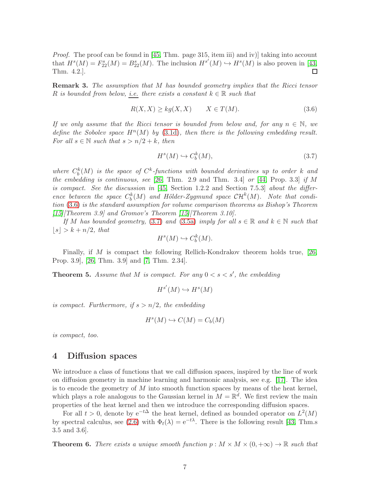*Proof.* The proof can be found in [\[45,](#page-25-2) Thm. page 315, item iii) and iv)] taking into account that  $H^s(M) = F_{22}^s(M) = B_{22}^s(M)$ . The inclusion  $H^{s'}(M) \hookrightarrow H^s(M)$  is also proven in [\[43,](#page-25-5) Thm. 4.2.]. □

Remark 3. The assumption that M has bounded geometry implies that the Ricci tensor R is bounded from below, i.e. there exists a constant  $k \in \mathbb{R}$  such that

<span id="page-6-1"></span>
$$
R(X, X) \ge kg(X, X) \qquad X \in T(M). \tag{3.6}
$$

If we only assume that the Ricci tensor is bounded from below and, for any  $n \in \mathbb{N}$ , we define the Sobolev space  $H^n(M)$  by [\(3.1d\)](#page-4-1), then there is the following embedding result. For all  $s \in \mathbb{N}$  such that  $s > n/2 + k$ , then

<span id="page-6-2"></span>
$$
H^s(M) \hookrightarrow C_b^k(M),\tag{3.7}
$$

where  $C_b^k(M)$  is the space of  $C^k$ -functions with bounded derivatives up to order k and the embedding is continuous, see [\[26,](#page-24-6) Thm. 2.9 and Thm. 3.4] or [\[44,](#page-25-8) Prop. 3.3] if M is compact. See the discussion in [\[45,](#page-25-2) Section 1.2.2 and Section 7.5.3] about the difference between the space  $C_b^k(M)$  and Hölder-Zygmund space  $\mathcal{CH}^k(M)$ . Note that condition [\(3.6\)](#page-6-1) is the standard assumption for volume comparison theorems as Bishop's Theorem  $[15]$ [Theorem 3.9] and Gromov's Theorem  $[15]$ [Theorem 3.10].

If M has bounded geometry, [\(3.7\)](#page-6-2) and [\(3.5a\)](#page-5-0) imply for all  $s \in \mathbb{R}$  and  $k \in \mathbb{N}$  such that  $|s| > k + n/2$ , that

$$
H^s(M) \hookrightarrow C_b^k(M).
$$

Finally, if M is compact the following Rellich-Kondrakov theorem holds true, [\[26,](#page-24-6) Prop. 3.9], [\[26,](#page-24-6) Thm. 3.9] and [\[7,](#page-23-5) Thm. 2.34].

<span id="page-6-3"></span>**Theorem 5.** Assume that M is compact. For any  $0 < s < s'$ , the embedding

$$
H^{s'}(M) \hookrightarrow H^s(M)
$$

is compact. Furthermore, if  $s > n/2$ , the embedding

$$
H^s(M) \hookrightarrow C(M) = C_b(M)
$$

<span id="page-6-0"></span>is compact, too.

### 4 Diffusion spaces

We introduce a class of functions that we call diffusion spaces, inspired by the line of work on diffusion geometry in machine learning and harmonic analysis, see e.g. [\[17\]](#page-24-7). The idea is to encode the geometry of  $M$  into smooth function spaces by means of the heat kernel, which plays a role analogous to the Gaussian kernel in  $M = \mathbb{R}^d$ . We first review the main properties of the heat kernel and then we introduce the corresponding diffusion spaces.

For all  $t > 0$ , denote by  $e^{-t\Delta}$  the heat kernel, defined as bounded operator on  $L^2(M)$ by spectral calculus, see [\(2.6\)](#page-3-3) with  $\Phi_t(\lambda) = e^{-t\lambda}$ . There is the following result [\[43,](#page-25-5) Thm.s 3.5 and 3.6].

**Theorem 6.** There exists a unique smooth function  $p : M \times M \times (0, +\infty) \to \mathbb{R}$  such that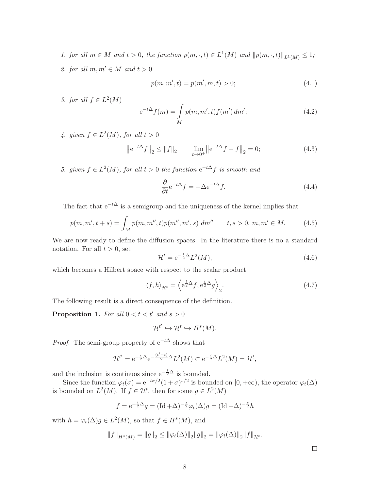- 1. for all  $m \in M$  and  $t > 0$ , the function  $p(m, \cdot, t) \in L^1(M)$  and  $||p(m, \cdot, t)||_{L^1(M)} \leq 1$ ;
- 2. for all  $m, m' \in M$  and  $t > 0$

$$
p(m, m', t) = p(m', m, t) > 0;
$$
\n(4.1)

3. for all  $f \in L^2(M)$ 

<span id="page-7-1"></span>
$$
e^{-t\Delta} f(m) = \int_{M} p(m, m', t) f(m') \, dm';\tag{4.2}
$$

4. given  $f \in L^2(M)$ , for all  $t > 0$ 

$$
\left\|e^{-t\Delta}f\right\|_{2} \le \|f\|_{2} \qquad \lim_{t \to 0^{+}} \left\|e^{-t\Delta}f - f\right\|_{2} = 0; \tag{4.3}
$$

5. given  $f \in L^2(M)$ , for all  $t > 0$  the function  $e^{-t\Delta} f$  is smooth and

$$
\frac{\partial}{\partial t} e^{-t\Delta} f = -\Delta e^{-t\Delta} f. \tag{4.4}
$$

The fact that  $e^{-t\Delta}$  is a semigroup and the uniqueness of the kernel implies that

<span id="page-7-0"></span>
$$
p(m, m', t + s) = \int_M p(m, m'', t) p(m'', m', s) \ dm'' \qquad t, s > 0, m, m' \in M. \tag{4.5}
$$

We are now ready to define the diffusion spaces. In the literature there is no a standard notation. For all  $t > 0$ , set

$$
\mathcal{H}^t = e^{-\frac{t}{2}\Delta}L^2(M),\tag{4.6}
$$

which becomes a Hilbert space with respect to the scalar product

$$
\langle f, h \rangle_{\mathcal{H}^t} = \left\langle e^{\frac{t}{2}\Delta} f, e^{\frac{t}{2}\Delta} g \right\rangle_2.
$$
 (4.7)

The following result is a direct consequence of the definition.

**Proposition 1.** For all  $0 < t < t'$  and  $s > 0$ 

$$
\mathcal{H}^{t'} \hookrightarrow \mathcal{H}^{t} \hookrightarrow H^{s}(M).
$$

*Proof.* The semi-group property of  $e^{-t\Delta}$  shows that

$$
\mathcal{H}^{t'} = e^{-\frac{t}{2}\Delta}e^{-\frac{(t'-t)}{2}\Delta}L^2(M) \subset e^{-\frac{t}{2}\Delta}L^2(M) = \mathcal{H}^t,
$$

and the inclusion is continuos since  $e^{-\frac{t}{2}\Delta}$  is bounded.

Since the function  $\varphi_t(\sigma) = e^{-t\sigma/2} (1+\sigma)^{s/2}$  is bounded on  $[0, +\infty)$ , the operator  $\varphi_t(\Delta)$ is bounded on  $L^2(M)$ . If  $f \in \mathcal{H}^t$ , then for some  $g \in L^2(M)$ 

$$
f = e^{-\frac{t}{2}\Delta}g = (\text{Id} + \Delta)^{-\frac{s}{2}}\varphi_t(\Delta)g = (\text{Id} + \Delta)^{-\frac{s}{2}}h
$$

with  $h = \varphi_t(\Delta)g \in L^2(M)$ , so that  $f \in H^s(M)$ , and

$$
||f||_{H^{s}(M)} = ||g||_{2} \le ||\varphi_{t}(\Delta)||_{2}||g||_{2} = ||\varphi_{t}(\Delta)||_{2}||f||_{\mathcal{H}^{t}}.
$$

 $\Box$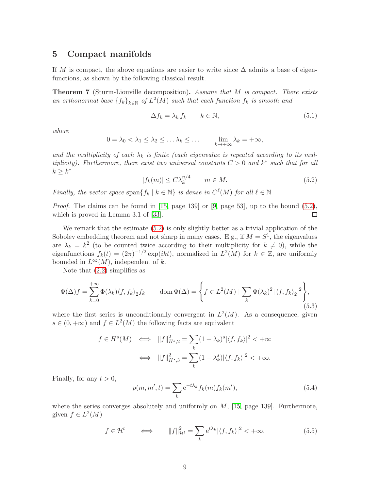### <span id="page-8-0"></span>5 Compact manifolds

If M is compact, the above equations are easier to write since  $\Delta$  admits a base of eigenfunctions, as shown by the following classical result.

<span id="page-8-2"></span>Theorem 7 (Sturm-Liouville decomposition). Assume that M is compact. There exists an orthonormal base  $\{f_k\}_{k\in\mathbb{N}}$  of  $L^2(M)$  such that each function  $f_k$  is smooth and

$$
\Delta f_k = \lambda_k f_k \qquad k \in \mathbb{N},\tag{5.1}
$$

where

$$
0 = \lambda_0 < \lambda_1 \leq \lambda_2 \leq \ldots \lambda_k \leq \ldots \qquad \lim_{k \to +\infty} \lambda_k = +\infty,
$$

and the multiplicity of each  $\lambda_k$  is finite (each eigenvalue is repeated according to its multiplicity). Furthermore, there exist two universal constants  $C > 0$  and  $k^*$  such that for all  $k \geq k^*$ 

<span id="page-8-1"></span>
$$
|f_k(m)| \le C\lambda_k^{n/4} \qquad m \in M. \tag{5.2}
$$

Finally, the vector space span $\{f_k \mid k \in \mathbb{N}\}\$ is dense in  $C^{\ell}(M)$  for all  $\ell \in \mathbb{N}$ 

*Proof.* The claims can be found in [\[15,](#page-24-4) page 139] or [\[9,](#page-23-7) page 53], up to the bound  $(5.2)$ , which is proved in Lemma 3.1 of [\[33\]](#page-25-9). □

We remark that the estimate  $(5.2)$  is only slightly better as a trivial application of the Sobolev embedding theorem and not sharp in many cases. E.g., if  $M = S<sup>1</sup>$ , the eigenvalues are  $\lambda_k = k^2$  (to be counted twice according to their multiplicity for  $k \neq 0$ ), while the eigenfunctions  $f_k(t) = (2\pi)^{-1/2} \exp(ikt)$ , normalized in  $L^2(M)$  for  $k \in \mathbb{Z}$ , are uniformly bounded in  $L^{\infty}(M)$ , independent of k.

Note that [\(2.2\)](#page-2-0) simplifies as

$$
\Phi(\Delta)f = \sum_{k=0}^{+\infty} \Phi(\lambda_k) \langle f, f_k \rangle_2 f_k \qquad \text{dom}\,\Phi(\Delta) = \left\{ f \in L^2(M) \mid \sum_k \Phi(\lambda_k)^2 \left| \langle f, f_k \rangle_2 \right|^2 \right\},\tag{5.3}
$$

where the first series is unconditionally convergent in  $L^2(M)$ . As a consequence, given  $s \in (0, +\infty)$  and  $f \in L^2(M)$  the following facts are equivalent

$$
f \in H^s(M) \iff ||f||_{H^s,2}^2 = \sum_k (1 + \lambda_k)^s |\langle f, f_k \rangle|^2 < +\infty
$$

$$
\iff ||f||_{H^s,3}^2 = \sum_k (1 + \lambda_k^s) |\langle f, f_k \rangle|^2 < +\infty.
$$

Finally, for any  $t > 0$ ,

$$
p(m, m', t) = \sum_{k} e^{-t\lambda_k} f_k(m) f_k(m'),
$$
\n(5.4)

where the series converges absolutely and uniformly on  $M$ , [\[15,](#page-24-4) page 139]. Furthermore, given  $f \in L^2(M)$ 

$$
f \in \mathcal{H}^t \qquad \Longleftrightarrow \qquad \|f\|_{\mathcal{H}^t}^2 = \sum_k e^{t\lambda_k} |\langle f, f_k \rangle|^2 < +\infty. \tag{5.5}
$$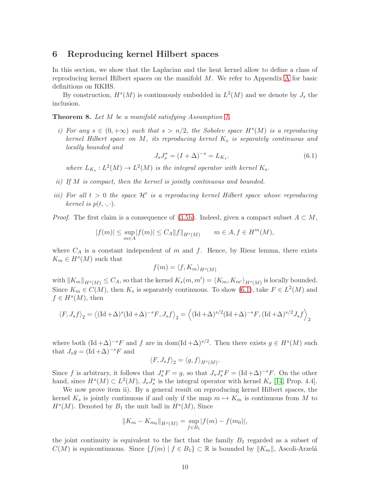# <span id="page-9-0"></span>6 Reproducing kernel Hilbert spaces

In this section, we show that the Laplacian and the heat kernel allow to define a class of reproducing kernel Hilbert spaces on the manifold M. We refer to Appendix [A](#page-26-1) for basic definitions on RKHS.

By construction,  $H^s(M)$  is continuously embedded in  $L^2(M)$  and we denote by  $J_s$  the inclusion.

<span id="page-9-2"></span>Theorem 8. Let M be a manifold satisfying Assumption [1.](#page-1-1)

i) For any  $s \in (0, +\infty)$  such that  $s > n/2$ , the Sobolev space  $H<sup>s</sup>(M)$  is a reproducing kernel Hilbert space on M, its reproducing kernel  $K_s$  is separately continuous and locally bounded and

<span id="page-9-1"></span>
$$
J_s J_s^* = (I + \Delta)^{-s} = L_{K_s}.
$$
\n(6.1)

where  $L_{K_s}: L^2(M) \to L^2(M)$  is the integral operator with kernel  $K_s$ .

- ii) If M is compact, then the kernel is jointly continuous and bounded.
- iii) For all  $t > 0$  the space  $\mathcal{H}^t$  is a reproducing kernel Hilbert space whose reproducing kernel is  $p(t, \cdot, \cdot)$ .

*Proof.* The first claim is a consequence of [\(3.5b\)](#page-5-1). Indeed, given a compact subset  $A \subset M$ ,

$$
|f(m)| \le \sup_{m \in A} |f(m)| \le C_A ||f||_{H^s(M)} \qquad m \in A, f \in H^m(M),
$$

where  $C_A$  is a constant independent of m and f. Hence, by Riesz lemma, there exists  $K_m \in H<sup>s</sup>(M)$  such that

$$
f(m) = \langle f, K_m \rangle_{H^s(M)}
$$

with  $||K_m||_{H^s(M)} \leq C_A$ , so that the kernel  $K_s(m, m') = \langle K_m, K_{m'} \rangle_{H^s(M)}$  is locally bounded. Since  $K_m \in C(M)$ , then  $K_s$  is separately continuous. To show [\(6.1\)](#page-9-1), take  $F \in L^2(M)$  and  $f \in H^s(M)$ , then

$$
\langle F, J_s f \rangle_2 = \langle (\text{Id} + \Delta)^s (\text{Id} + \Delta)^{-s} F, J_s f \rangle_2 = \langle (\text{Id} + \Delta)^{s/2} (\text{Id} + \Delta)^{-s} F, (\text{Id} + \Delta)^{s/2} J_s f \rangle_2
$$

where both  $(\text{Id} + \Delta)^{-s}F$  and f are in dom $(\text{Id} + \Delta)^{s/2}$ . Then there exists  $g \in H^s(M)$  such that  $J_s g = (\text{Id} + \Delta)^{-s} F$  and

$$
\langle F, J_s f \rangle_2 = \langle g, f \rangle_{H^s(M)}.
$$

Since f is arbitrary, it follows that  $J_s^*F = g$ , so that  $J_sJ_s^*F = (\text{Id} + \Delta)^{-s}F$ . On the other hand, since  $H^s(M) \subset L^2(M)$ ,  $J_s J_s^*$  is the integral operator with kernel  $K_s$  [\[14,](#page-24-8) Prop. 4.4].

We now prove item ii). By a general result on reproducing kernel Hilbert spaces, the kernel  $K_s$  is jointly continuous if and only if the map  $m \mapsto K_m$  is continuous from M to  $H<sup>s</sup>(M)$ . Denoted by  $B<sub>1</sub>$  the unit ball in  $H<sup>s</sup>(M)$ , Since

$$
||K_m - K_{m_0}||_{H^s(M)} = \sup_{f \in B_1} |f(m) - f(m_0)|,
$$

the joint continuity is equivalent to the fact that the family  $B_1$  regarded as a subset of  $C(M)$  is equicontinuous. Since  $\{f(m) | f \in B_1\} \subset \mathbb{R}$  is bounded by  $||K_m||$ , Ascoli-Arzelá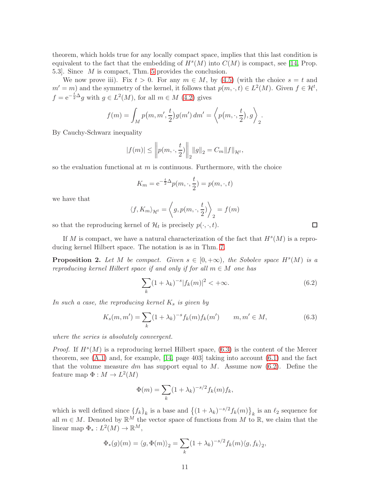theorem, which holds true for any locally compact space, implies that this last condition is equivalent to the fact that the embedding of  $H<sup>s</sup>(M)$  into  $C(M)$  is compact, see [\[14,](#page-24-8) Prop. 5.3]. Since M is compact, Thm. [5](#page-6-3) provides the conclusion.

We now prove iii). Fix  $t > 0$ . For any  $m \in M$ , by [\(4.5\)](#page-7-0) (with the choice  $s = t$  and  $m' = m$  and the symmetry of the kernel, it follows that  $p(m, \cdot, t) \in L^2(M)$ . Given  $f \in H^t$ ,  $f = e^{-\frac{t}{2}\Delta}g$  with  $g \in L^2(M)$ , for all  $m \in M$  [\(4.2\)](#page-7-1) gives

$$
f(m) = \int_M p(m, m', \frac{t}{2}) g(m') dm' = \left\langle p(m, \cdot, \frac{t}{2}), g \right\rangle_2.
$$

By Cauchy-Schwarz inequality

$$
|f(m)| \leq \left\| p(m, \cdot, \frac{t}{2}) \right\|_2 \|g\|_2 = C_m \|f\|_{\mathcal{H}^t},
$$

so the evaluation functional at  $m$  is continuous. Furthermore, with the choice

$$
K_m = e^{-\frac{t}{2}\Delta}p(m,\cdot,\frac{t}{2}) = p(m,\cdot,t)
$$

we have that

$$
\langle f, K_m \rangle_{\mathcal{H}^t} = \left\langle g, p(m, \cdot, \frac{t}{2}) \right\rangle_2 = f(m)
$$

so that the reproducing kernel of  $\mathcal{H}_t$  is precisely  $p(\cdot, \cdot, t)$ .

If M is compact, we have a natural characterization of the fact that  $H<sup>s</sup>(M)$  is a reproducing kernel Hilbert space. The notation is as in Thm. [7.](#page-8-2)

<span id="page-10-2"></span>**Proposition 2.** Let M be compact. Given  $s \in [0, +\infty)$ , the Sobolev space  $H^s(M)$  is a reproducing kernel Hilbert space if and only if for all  $m \in M$  one has

<span id="page-10-1"></span>
$$
\sum_{k} (1 + \lambda_k)^{-s} |f_k(m)|^2 < +\infty. \tag{6.2}
$$

In such a case, the reproducing kernel  $K_s$  is given by

<span id="page-10-0"></span>
$$
K_s(m, m') = \sum_{k} (1 + \lambda_k)^{-s} f_k(m) f_k(m') \qquad m, m' \in M,
$$
\n(6.3)

where the series is absolutely convergent.

*Proof.* If  $H^s(M)$  is a reproducing kernel Hilbert space, [\(6.3\)](#page-10-0) is the content of the Mercer theorem, see  $(A.1)$  and, for example, [\[14,](#page-24-8) page 403] taking into account  $(6.1)$  and the fact that the volume measure dm has support equal to  $M$ . Assume now [\(6.2\)](#page-10-1). Define the feature map  $\Phi: M \to L^2(M)$ 

$$
\Phi(m) = \sum_{k} (1 + \lambda_k)^{-s/2} f_k(m) f_k,
$$

which is well defined since  $\{f_k\}_k$  is a base and  $\{(1 + \lambda_k)^{-s/2} f_k(m)\}_k$  is an  $\ell_2$  sequence for all  $m \in M$ . Denoted by  $\mathbb{R}^M$  the vector space of functions from M to  $\mathbb{R}$ , we claim that the linear map  $\Phi_*: L^2(M) \to \mathbb{R}^M$ ,

$$
\Phi_*(g)(m) = \langle g, \Phi(m) \rangle_2 = \sum_k (1 + \lambda_k)^{-s/2} f_k(m) \langle g, f_k \rangle_2,
$$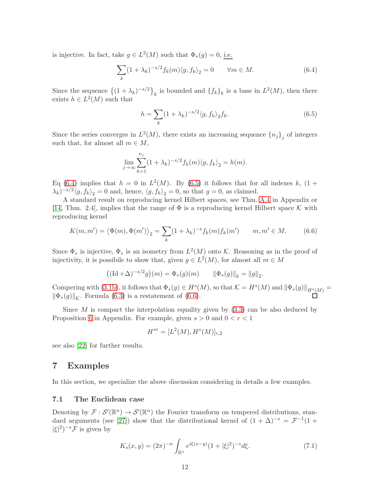is injective. In fact, take  $g \in L^2(M)$  such that  $\Phi_*(g) = 0$ , i.e.

<span id="page-11-1"></span>
$$
\sum_{k} (1 + \lambda_k)^{-s/2} f_k(m) \langle g, f_k \rangle_2 = 0 \qquad \forall m \in M.
$$
 (6.4)

Since the sequence  $\{(1+\lambda_k)^{-s/2}\}_k$  is bounded and  $\{f_k\}_k$  is a base in  $L^2(M)$ , then there exists  $h \in L^2(M)$  such that

<span id="page-11-2"></span>
$$
h = \sum_{k} (1 + \lambda_k)^{-s/2} \langle g, f_k \rangle_2 f_k. \tag{6.5}
$$

Since the series converges in  $L^2(M)$ , there exists an increasing sequence  $\{n_j\}_j$  of integers such that, for almost all  $m \in M$ ,

$$
\lim_{j \to \infty} \sum_{k=1}^{n_j} (1 + \lambda_k)^{-s/2} f_k(m) \langle g, f_k \rangle_2 = h(m).
$$

Eq [\(6.4\)](#page-11-1) implies that  $h = 0$  in  $L^2(M)$ . By [\(6.5\)](#page-11-2) it follows that for all indexes k, (1 +  $(\lambda_k)^{-s/2} \langle g, f_k \rangle_2 = 0$  and, hence,  $\langle g, f_k \rangle_2 = 0$ , so that  $g = 0$ , as claimed.

A standard result on reproducing kernel Hilbert spaces, see Thm. [A.4](#page-27-1) in Appendix or [\[14,](#page-24-8) Thm. 2.4], implies that the range of  $\Phi$  is a reproducing kernel Hilbert space K with reproducing kernel

<span id="page-11-3"></span>
$$
K(m, m') = \langle \Phi(m), \Phi(m') \rangle_2 = \sum_{k} (1 + \lambda_k)^{-s} f_k(m) f_k(m') \qquad m, m' \in M. \tag{6.6}
$$

Since  $\Phi_*$  is injective,  $\Phi_*$  is an isometry from  $L^2(M)$  onto K. Reasoning as in the proof of injectivity, it is possibile to show that, given  $g \in L^2(M)$ , for almost all  $m \in M$ 

$$
((\mathrm{Id} + \Delta)^{-s/2} g)(m) = \Phi_*(g)(m) \qquad \|\Phi_*(g)\|_k = \|g\|_2.
$$

Compering with [\(3.1b\)](#page-4-3), it follows that  $\Phi_*(g) \in H^s(M)$ , so that  $\mathcal{K} = H^s(M)$  and  $\|\Phi_*(g)\|_{H^s(M)} =$  $\|\Phi_*(g)\|_{\mathcal{K}}$ . Formula [\(6.3\)](#page-10-0) is a restatement of [\(6.6\)](#page-11-3).

Since  $M$  is compact the interpolation equality given by  $(3.3)$  can be also deduced by Proposition [6](#page-29-5) in Appendix. For example, given  $s > 0$  and  $0 < r < 1$ 

$$
H^{sr} = [L^2(M), H^s(M)]_{r,2}
$$

see also [\[22\]](#page-24-9) for further results.

### <span id="page-11-0"></span>7 Examples

In this section, we specialize the above discussion considering in details a few examples.

### 7.1 The Euclidean case

Denoting by  $\mathcal{F}: \mathcal{S}'(\mathbb{R}^n) \to \mathcal{S}'(\mathbb{R}^n)$  the Fourier transform on tempered distributions, stan-dard arguments (see [\[27\]](#page-24-10)) show that the distributional kernel of  $(1 + \Delta)^{-s} = \mathcal{F}^{-1}(1 + \Delta)^{-s}$  $|\xi|^2$ )<sup>-s</sup> $\mathcal F$  is given by

<span id="page-11-4"></span>
$$
K_s(x,y) = (2\pi)^{-n} \int_{\mathbb{R}^n} e^{i\xi(x-y)} (1+|\xi|^2)^{-s} d\xi.
$$
 (7.1)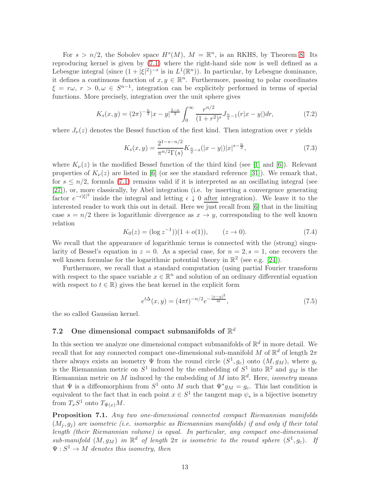For  $s > n/2$ , the Sobolev space  $H<sup>s</sup>(M)$ ,  $M = \mathbb{R}<sup>n</sup>$ , is an RKHS, by Theorem [8.](#page-9-2) Its reproducing kernel is given by [\(7.1\)](#page-11-4) where the right-hand side now is well defined as a Lebesgue integral (since  $(1+|\xi|^2)^{-s}$  is in  $L^1(\mathbb{R}^n)$ ). In particular, by Lebesgue dominance, it defines a continuous function of  $x, y \in \mathbb{R}^n$ . Furthermore, passing to polar coordinates  $\xi = r\omega, r > 0, \omega \in S^{n-1}$ , integration can be explicitely performed in terms of special functions. More precisely, integration over the unit sphere gives

$$
K_s(x,y) = (2\pi)^{-\frac{n}{2}}|x-y|^{\frac{2-n}{2}} \int_0^\infty \frac{r^{n/2}}{(1+r^2)^s} J_{\frac{n}{2}-1}(r|x-y|) dr,\tag{7.2}
$$

where  $J_{\nu}(z)$  denotes the Bessel function of the first kind. Then integration over r yields

$$
K_s(x,y) = \frac{2^{1-s-n/2}}{\pi^{n/2}\Gamma(s)} K_{\frac{n}{2}-s}(|x-y|)|x|^{s-\frac{n}{2}},\tag{7.3}
$$

where  $K_{\nu}(z)$  is the modified Bessel function of the third kind (see [\[1\]](#page-23-8) and [\[6\]](#page-23-9)). Relevant properties of  $K_{\nu}(z)$  are listed in [\[6\]](#page-23-9) (or see the standard reference [\[31\]](#page-25-10)). We remark that, for  $s \leq n/2$ , formula [\(7.1\)](#page-11-4) remains valid if it is interpreted as an oscillating integral (see [\[27\]](#page-24-10)), or, more classically, by Abel integration (i.e. by inserting a convergence generating factor  $e^{-\epsilon|\xi|^2}$  inside the integral and letting  $\epsilon \downarrow 0$  after integration). We leave it to the interested reader to work this out in detail. Here we just recall from [\[6\]](#page-23-9) that in the limiting case  $s = n/2$  there is logarithmic divergence as  $x \to y$ , corresponding to the well known relation

$$
K_0(z) = (\log z^{-1})\Big(1 + o(1)\Big), \qquad (z \to 0). \tag{7.4}
$$

We recall that the appearance of logarithmic terms is connected with the (strong) singularity of Bessel's equation in  $z = 0$ . As a special case, for  $n = 2$ ,  $s = 1$ , one recovers the well known formulae for the logarithmic potential theory in  $\mathbb{R}^2$  (see e.g. [\[24\]](#page-24-11)).

Furthermore, we recall that a standard computation (using partial Fourier transform with respect to the space variable  $x \in \mathbb{R}^n$  and solution of an ordinary differential equation with respect to  $t \in \mathbb{R}$ ) gives the heat kernel in the explicit form

$$
e^{t\Delta}(x,y) = (4\pi t)^{-n/2} e^{-\frac{|x-y|^2}{4t}},\tag{7.5}
$$

the so called Gaussian kernel.

# 7.2 One dimensional compact submanifolds of  $\mathbb{R}^d$

In this section we analyze one dimensional compact submanifolds of  $\mathbb{R}^d$  in more detail. We recall that for any connected compact one-dimensional sub-manifold M of  $\mathbb{R}^d$  of length  $2\pi$ there always exists an isometry  $\Psi$  from the round circle  $(S^1, g_c)$  onto  $(M, g_M)$ , where  $g_c$ is the Riemannian metric on  $S^1$  induced by the embedding of  $S^1$  into  $\mathbb{R}^2$  and  $g_M$  is the Riemannian metric on M induced by the embedding of M into  $\mathbb{R}^d$ . Here, *isometry* means that  $\Psi$  is a diffeomorphism from  $S^1$  onto M such that  $\Psi^* g_M = g_c$ . This last condition is equivalent to the fact that in each point  $x \in S^1$  the tangent map  $\psi_*$  is a bijective isometry from  $T_xS^1$  onto  $T_{\Psi(x)}M$ .

<span id="page-12-0"></span>Proposition 7.1. Any two one-dimensional connected compact Riemannian manifolds  $(M<sub>i</sub>, g<sub>i</sub>)$  are isometric (i.e. isomorphic as Riemannian manifolds) if and only if their total length (their Riemannian volume) is equal. In particular, any compact one-dimensional sub-manifold  $(M, g_M)$  in  $\mathbb{R}^d$  of length  $2\pi$  is isometric to the round sphere  $(S^1, g_c)$ . If  $\Psi: S^1 \to M$  denotes this isometry, then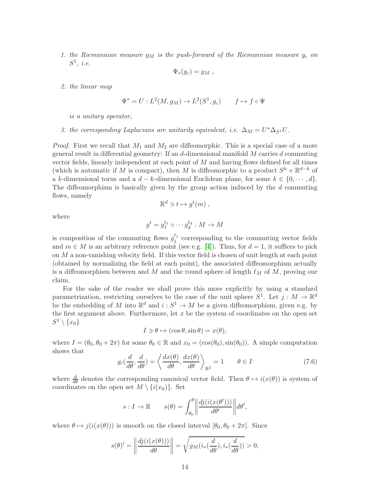1. the Riemannian measure  $g_M$  is the push-forward of the Riemannian measure  $g_c$  on  $S^1, i.e.$ 

$$
\Psi_*(g_c)=g_M,
$$

2. the linear map

$$
\Psi^* = U : L^2(M, g_M) \to L^2(S^1, g_c) \qquad f \mapsto f \circ \Psi
$$

is a unitary operator,

3. the corresponding Laplacians are unitarily equivalent, i.e.  $\Delta_M = U^* \Delta_{S^1} U$ .

*Proof.* First we recall that  $M_1$  and  $M_2$  are diffeomorphic. This is a special case of a more general result in differential geometry: If an  $d$ -dimensional manifold  $M$  carries  $d$  commuting vector fields, linearly independent at each point of  $M$  and having flows defined for all times (which is automatic if M is compact), then M is diffeomorphic to a product  $S^k \times \mathbb{R}^{d-k}$  of a k-dimensional torus and a  $d - k$ -dimensional Euclidean plane, for some  $k \in \{0, \dots, d\}$ . The diffeomorphism is basically given by the group action induced by the  $d$  commuting flows, namely

$$
\mathbb{R}^d \ni t \mapsto g^t(m) ,
$$

where

$$
g^t = g_1^{t_1} \circ \cdots g_d^{t_d} : M \to M
$$

is composition of the commuting flows  $g_j^{t_j}$  $j_j^{\iota_j}$  corresponding to the commuting vector fields and  $m \in M$  is an arbitrary reference point (see e.g. [\[4\]](#page-23-10)). Thus, for  $d = 1$ , it suffices to pick on  $M$  a non-vanishing velocity field. If this vector field is chosen of unit length at each point (obtained by normalizing the field at each point), the associated diffeomorphism actually is a diffeomorphism between and M and the round sphere of length  $\ell_M$  of M, proving our claim.

For the sake of the reader we shall prove this more explicitly by using a standard parametrization, restricting ourselves to the case of the unit sphere  $S^1$ . Let  $j: M \to \mathbb{R}^d$ be the embedding of M into  $\mathbb{R}^d$  and  $i : S^1 \to M$  be a given diffeomorphism, given e.g. by the first argument above. Furthermore, let  $x$  be the system of coordinates on the open set  $S^1\setminus\{x_0\}$ 

$$
I \ni \theta \mapsto (\cos \theta, \sin \theta) = x(\theta),
$$

where  $I = (\theta_0, \theta_0 + 2\pi)$  for some  $\theta_0 \in \mathbb{R}$  and  $x_0 = (\cos(\theta_0), \sin(\theta_0))$ . A simple computation shows that

<span id="page-13-0"></span>
$$
g_c(\frac{d}{d\theta}, \frac{d}{d\theta}) = \left\langle \frac{dx(\theta)}{d\theta}, \frac{dx(\theta)}{d\theta} \right\rangle_{\mathbb{R}^2} = 1 \qquad \theta \in I \tag{7.6}
$$

where  $\frac{d}{d\theta}$  denotes the corresponding canonical vector field. Then  $\theta \mapsto i(x(\theta))$  is system of coordinates on the open set  $M \setminus \{i(x_0)\}.$  Set

$$
s: I \to \mathbb{R} \qquad s(\theta) = \int_{\theta_0}^{\theta} \left\| \frac{dj(i(x(\theta')))}{d\theta'} \right\| d\theta',
$$

where  $\theta \mapsto j(i(x(\theta)))$  is smooth on the closed interval  $[\theta_0, \theta_0 + 2\pi]$ . Since

$$
s(\theta)' = \left\| \frac{dj(i(x(\theta)))}{d\theta} \right\| = \sqrt{g_M(i_*(\frac{d}{d\theta}), i_*(\frac{d}{d\theta}))} > 0,
$$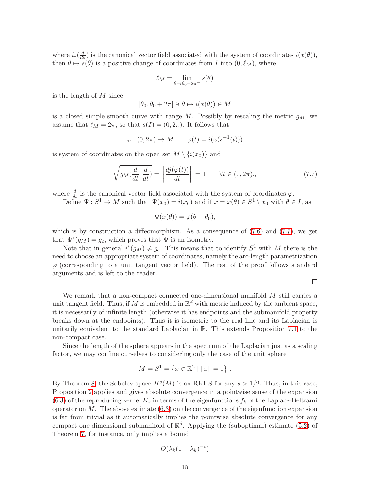where  $i_*(\frac{d}{d\theta})$  is the canonical vector field associated with the system of coordinates  $i(x(\theta))$ , then  $\theta \mapsto s(\theta)$  is a positive change of coordinates from I into  $(0, \ell_M)$ , where

$$
\ell_M = \lim_{\theta \to \theta_0 + 2\pi^-} s(\theta)
$$

is the length of M since

$$
[\theta_0, \theta_0 + 2\pi] \ni \theta \mapsto i(x(\theta)) \in M
$$

is a closed simple smooth curve with range  $M$ . Possibly by rescaling the metric  $g_M$ , we assume that  $\ell_M = 2\pi$ , so that  $s(I) = (0, 2\pi)$ . It follows that

$$
\varphi : (0, 2\pi) \to M \qquad \varphi(t) = i(x(s^{-1}(t)))
$$

is system of coordinates on the open set  $M \setminus \{i(x_0)\}\$ and

<span id="page-14-0"></span>
$$
\sqrt{g_M(\frac{d}{dt}, \frac{d}{dt})} = \left\| \frac{dj(\varphi(t))}{dt} \right\| = 1 \qquad \forall t \in (0, 2\pi), \tag{7.7}
$$

where  $\frac{d}{dt}$  is the canonical vector field associated with the system of coordinates  $\varphi$ .

Define  $\Psi: S^1 \to M$  such that  $\Psi(x_0) = i(x_0)$  and if  $x = x(\theta) \in S^1 \setminus x_0$  with  $\theta \in I$ , as

$$
\Psi(x(\theta)) = \varphi(\theta - \theta_0),
$$

which is by construction a diffeomorphism. As a consequence of  $(7.6)$  and  $(7.7)$ , we get that  $\Psi^*(g_M) = g_c$ , which proves that  $\Psi$  is an isometry.

Note that in general  $i^*(g_M) \neq g_c$ . This means that to identify  $S^1$  with M there is the need to choose an appropriate system of coordinates, namely the arc-length parametrization  $\varphi$  (corresponding to a unit tangent vector field). The rest of the proof follows standard arguments and is left to the reader.

 $\Box$ 

We remark that a non-compact connected one-dimensional manifold M still carries a unit tangent field. Thus, if M is embedded in  $\mathbb{R}^d$  with metric induced by the ambient space, it is necessarily of infinite length (otherwise it has endpoints and the submanifold property breaks down at the endpoints). Thus it is isometric to the real line and its Laplacian is unitarily equivalent to the standard Laplacian in R. This extends Proposition [7.1](#page-12-0) to the non-compact case.

Since the length of the sphere appears in the spectrum of the Laplacian just as a scaling factor, we may confine ourselves to considering only the case of the unit sphere

$$
M = S1 = \{x \in \mathbb{R}^2 \mid ||x|| = 1\}.
$$

By Theorem [8,](#page-9-2) the Sobolev space  $H<sup>s</sup>(M)$  is an RKHS for any  $s > 1/2$ . Thus, in this case, Proposition [2](#page-10-2) applies and gives absolute convergence in a pointwise sense of the expansion  $(6.3)$  of the reproducing kernel  $K_s$  in terms of the eigenfunctions  $f_k$  of the Laplace-Beltrami operator on  $M$ . The above estimate  $(6.3)$  on the convergence of the eigenfunction expansion is far from trivial as it automatically implies the pointwise absolute convergence for any compact one dimensional submanifold of  $\mathbb{R}^d$ . Applying the (suboptimal) estimate  $(5.2)$  of Theorem [7,](#page-8-2) for instance, only implies a bound

$$
O(\lambda_k(1+\lambda_k)^{-s})
$$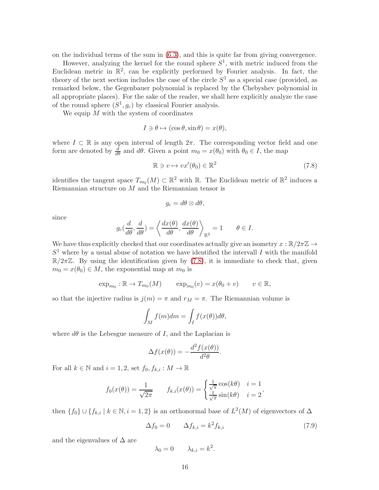on the individual terms of the sum in [\(6.3\)](#page-10-0), and this is quite far from giving convergence.

However, analyzing the kernel for the round sphere  $S^1$ , with metric induced from the Euclidean metric in  $\mathbb{R}^2$ , can be explicitly performed by Fourier analysis. In fact, the theory of the next section includes the case of the circle  $S^1$  as a special case (provided, as remarked below, the Gegenbauer polynomial is replaced by the Chebyshev polynomial in all appropriate places). For the sake of the reader, we shall here explicitly analyze the case of the round sphere  $(S^1, g_c)$  by classical Fourier analysis.

We equip  $M$  with the system of coordinates

$$
I \ni \theta \mapsto (\cos \theta, \sin \theta) = x(\theta),
$$

where  $I \subset \mathbb{R}$  is any open interval of length  $2\pi$ . The corresponding vector field and one form are denoted by  $\frac{d}{d\theta}$  and  $d\theta$ . Given a point  $m_0 = x(\theta_0)$  with  $\theta_0 \in I$ , the map

<span id="page-15-0"></span>
$$
\mathbb{R} \ni v \mapsto vx'(\theta_0) \in \mathbb{R}^2 \tag{7.8}
$$

identifies the tangent space  $T_{m_0}(M) \subset \mathbb{R}^2$  with  $\mathbb{R}$ . The Euclidean metric of  $\mathbb{R}^2$  induces a Riemannian structure on M and the Riemannian tensor is

$$
g_c = d\theta \otimes d\theta,
$$

since

$$
g_c(\frac{d}{d\theta}, \frac{d}{d\theta}) = \left\langle \frac{dx(\theta)}{d\theta}, \frac{dx(\theta)}{d\theta} \right\rangle_{\mathbb{R}^2} = 1 \qquad \theta \in I.
$$

We have thus explicitly checked that our coordinates actually give an isometry  $x : \mathbb{R}/2\pi\mathbb{Z} \to$  $S<sup>1</sup>$  where by a usual abuse of notation we have identified the intervall I with the manifold  $\mathbb{R}/2\pi\mathbb{Z}$ . By using the identification given by [\(7.8\)](#page-15-0), it is immediate to check that, given  $m_0 = x(\theta_0) \in M$ , the exponential map at  $m_0$  is

$$
\exp_{m_0}: \mathbb{R} \to T_{m_0}(M) \qquad \exp_{m_0}(v) = x(\theta_0 + v) \qquad v \in \mathbb{R},
$$

so that the injective radius is  $j(m) = \pi$  and  $r_M = \pi$ . The Riemannian volume is

$$
\int_M f(m)dm = \int_I f(x(\theta))d\theta,
$$

where  $d\theta$  is the Lebesgue measure of I, and the Laplacian is

$$
\Delta f(x(\theta)) = -\frac{d^2 f(x(\theta))}{d^2 \theta}.
$$

For all  $k \in \mathbb{N}$  and  $i = 1, 2$ , set  $f_0, f_{k,i} : M \to \mathbb{R}$ 

$$
f_0(x(\theta)) = \frac{1}{\sqrt{2\pi}} \qquad f_{k,i}(x(\theta)) = \begin{cases} \frac{1}{\sqrt{\pi}}\cos(k\theta) & i = 1\\ \frac{1}{\sqrt{\pi}}\sin(k\theta) & i = 2 \end{cases}
$$

then  $\{f_0\} \cup \{f_{k,i} \mid k \in \mathbb{N}, i = 1, 2\}$  is an orthonormal base of  $L^2(M)$  of eigenvectors of  $\Delta$ 

<span id="page-15-1"></span>
$$
\Delta f_0 = 0 \qquad \Delta f_{k,i} = k^2 f_{k,i} \tag{7.9}
$$

and the eigenvalues of  $\Delta$  are

$$
\lambda_0 = 0 \qquad \lambda_{k,i} = k^2.
$$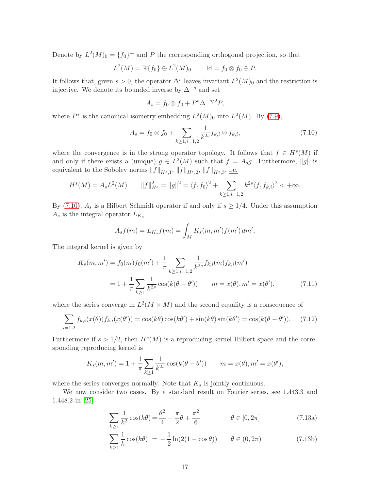Denote by  $L^2(M)_0 = \{f_0\}^{\perp}$  and P the corresponding orthogonal projection, so that

$$
L^2(M) = \mathbb{R}\{f_0\} \oplus L^2(M)_0 \qquad \text{Id} = f_0 \otimes f_0 \oplus P.
$$

It follows that, given  $s > 0$ , the operator  $\Delta^s$  leaves invariant  $L^2(M)_0$  and the restriction is injective. We denote its bounded inverse by  $\Delta^{-s}$  and set

$$
A_s = f_0 \otimes f_0 + P^* \Delta^{-s/2} P,
$$

where  $P^*$  is the canonical isometry embedding  $L^2(M)_0$  into  $L^2(M)$ . By [\(7.9\)](#page-15-1),

<span id="page-16-0"></span>
$$
A_s = f_0 \otimes f_0 + \sum_{k \ge 1, i=1,2} \frac{1}{k^{2s}} f_{k,i} \otimes f_{k,i}, \qquad (7.10)
$$

where the convergence is in the strong operator topology. It follows that  $f \in H<sup>s</sup>(M)$  if and only if there exists a (unique)  $g \in L^2(M)$  such that  $f = A_s g$ . Furthermore, ||g|| is equivalent to the Sobolev norms  $||f||_{H^s,1}$ ,  $||f||_{H^s,2}$ ,  $||f||_{H^s,3}$ , *i.e.* 

$$
H^{s}(M) = A_{s}L^{2}(M) \qquad ||f||_{H^{s}}^{2} = ||g||^{2} = \langle f, f_{0} \rangle^{2} + \sum_{k \geq 1, i=1,2} k^{2s} \langle f, f_{k,i} \rangle^{2} < +\infty.
$$

By [\(7.10\)](#page-16-0),  $A_s$  is a Hilbert Schmidt operator if and only if  $s \geq 1/4$ . Under this assumption  $A_s$  is the integral operator  $L_{K_s}$ 

$$
A_s f(m) = L_{K_s} f(m) = \int_M K_s(m, m') f(m') dm',
$$

The integral kernel is given by

$$
K_s(m, m') = f_0(m)f_0(m') + \frac{1}{\pi} \sum_{k \ge 1, i=1,2} \frac{1}{k^{2s}} f_{k,i}(m) f_{k,i}(m')
$$
  
=  $1 + \frac{1}{\pi} \sum_{k \ge 1} \frac{1}{k^{2s}} \cos(k(\theta - \theta')) \qquad m = x(\theta), m' = x(\theta').$  (7.11)

where the series converge in  $L^2(M \times M)$  and the second equality is a consequence of

$$
\sum_{i=1,2} f_{k,i}(x(\theta)) f_{k,i}(x(\theta')) = \cos(k\theta)\cos(k\theta') + \sin(k\theta)\sin(k\theta') = \cos(k(\theta - \theta')). \tag{7.12}
$$

Furthermore if  $s > 1/2$ , then  $H<sup>s</sup>(M)$  is a reproducing kernel Hilbert space and the corresponding reproducing kernel is

$$
K_s(m, m') = 1 + \frac{1}{\pi} \sum_{k \ge 1} \frac{1}{k^{2s}} \cos(k(\theta - \theta'))
$$
  $m = x(\theta), m' = x(\theta'),$ 

where the series converges normally. Note that  $K_s$  is jointly continuous.

We now consider two cases. By a standard result on Fourier series, see 1.443.3 and 1.448.2 in [\[25\]](#page-24-12)

$$
\sum_{k\geq 1} \frac{1}{k^2} \cos(k\theta) = \frac{\theta^2}{4} - \frac{\pi}{2}\theta + \frac{\pi^2}{6} \qquad \theta \in [0, 2\pi]
$$
 (7.13a)

$$
\sum_{k\geq 1} \frac{1}{k} \cos(k\theta) = -\frac{1}{2} \ln(2(1 - \cos\theta)) \qquad \theta \in (0, 2\pi)
$$
 (7.13b)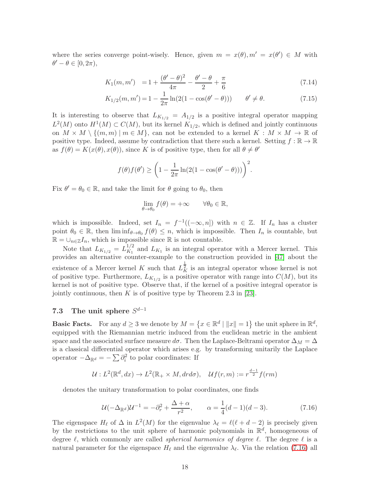where the series converge point-wisely. Hence, given  $m = x(\theta), m' = x(\theta') \in M$  with  $\theta' - \theta \in [0, 2\pi),$ 

$$
K_1(m, m') = 1 + \frac{(\theta' - \theta)^2}{4\pi} - \frac{\theta' - \theta}{2} + \frac{\pi}{6}
$$
\n(7.14)

$$
K_{1/2}(m, m') = 1 - \frac{1}{2\pi} \ln(2(1 - \cos(\theta' - \theta))) \qquad \theta' \neq \theta.
$$
 (7.15)

It is interesting to observe that  $L_{K_{1/2}} = A_{1/2}$  is a positive integral operator mapping  $L^2(M)$  onto  $H^1(M) \subset C(M)$ , but its kernel  $K_{1/2}$ , which is defined and jointly continuous on  $M \times M \setminus \{(m,m) \mid m \in M\}$ , can not be extended to a kernel  $K : M \times M \to \mathbb{R}$  of positive type. Indeed, assume by contradiction that there such a kernel. Setting  $f : \mathbb{R} \to \mathbb{R}$ as  $f(\theta) = K(x(\theta), x(\theta))$ , since K is of positive type, then for all  $\theta \neq \theta'$ 

$$
f(\theta)f(\theta') \ge \left(1 - \frac{1}{2\pi}\ln(2(1 - \cos(\theta' - \theta)))\right)^2.
$$

Fix  $\theta' = \theta_0 \in \mathbb{R}$ , and take the limit for  $\theta$  going to  $\theta_0$ , then

$$
\lim_{\theta \to \theta_0} f(\theta) = +\infty \qquad \forall \theta_0 \in \mathbb{R},
$$

which is impossible. Indeed, set  $I_n = f^{-1}((-\infty, n])$  with  $n \in \mathbb{Z}$ . If  $I_n$  has a cluster point  $\theta_0 \in \mathbb{R}$ , then  $\liminf_{\theta \to \theta_0} f(\theta) \leq n$ , which is impossible. Then  $I_n$  is countable, but  $\mathbb{R} = \bigcup_{n \in \mathbb{Z}} I_n$ , which is impossible since  $\mathbb{R}$  is not countable.

Note that  $L_{K_{1/2}} = L_{K_1}^{1/2}$  $K_1^{1/2}$  and  $L_{K_1}$  is an integral operator with a Mercer kernel. This provides an alternative counter-example to the construction provided in [\[47\]](#page-26-2) about the existence of a Mercer kernel K such that  $L_K^{\frac{1}{2}}$  is an integral operator whose kernel is not of positive type. Furthermore,  $L_{K_{1/2}}$  is a positive operator with range into  $C(M)$ , but its kernel is not of positive type. Observe that, if the kernel of a positive integral operator is jointly continuous, then K is of positive type by Theorem 2.3 in [\[23\]](#page-24-13).

# 7.3 The unit sphere  $S^{d-1}$

**Basic Facts.** For any  $d \ge 3$  we denote by  $M = \{x \in \mathbb{R}^d \mid ||x|| = 1\}$  the unit sphere in  $\mathbb{R}^d$ , equipped with the Riemannian metric induced from the euclidean metric in the ambient space and the associated surface measure  $d\sigma$ . Then the Laplace-Beltrami operator  $\Delta_M = \Delta$ is a classical differential operator which arises e.g. by transforming unitarily the Laplace operator  $-\Delta_{\mathbb{R}^d} = -\sum \partial_i^2$  to polar coordinates: If

$$
\mathcal{U}: L^2(\mathbb{R}^d, dx) \to L^2(\mathbb{R}_+ \times M, dr d\sigma), \quad \mathcal{U}f(r, m) := r^{\frac{d-1}{2}} f(rm)
$$

denotes the unitary transformation to polar coordinates, one finds

<span id="page-17-0"></span>
$$
\mathcal{U}(-\Delta_{\mathbb{R}^d})\mathcal{U}^{-1} = -\partial_r^2 + \frac{\Delta + \alpha}{r^2}, \qquad \alpha = \frac{1}{4}(d-1)(d-3). \tag{7.16}
$$

The eigenspace  $H_{\ell}$  of  $\Delta$  in  $L^2(M)$  for the eigenvalue  $\lambda_{\ell} = \ell(\ell + d - 2)$  is precisely given by the restrictions to the unit sphere of harmonic polynomials in  $\mathbb{R}^d$ , homogeneous of degree  $\ell$ , which commonly are called *spherical harmonics of degree*  $\ell$ . The degree  $\ell$  is a natural parameter for the eigenspace  $H_{\ell}$  and the eigenvalue  $\lambda_{\ell}$ . Via the relation [\(7.16\)](#page-17-0) all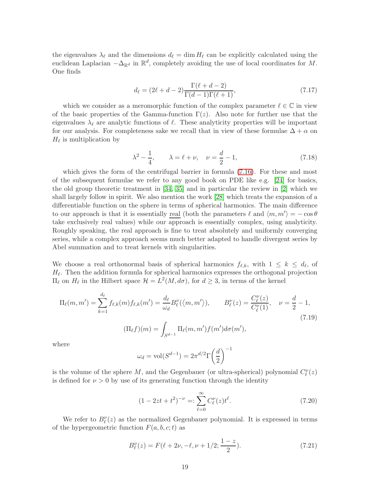the eigenvalues  $\lambda_{\ell}$  and the dimensions  $d_{\ell} = \dim H_{\ell}$  can be explicitly calculated using the euclidean Laplacian  $-\Delta_{\mathbb{R}^d}$  in  $\mathbb{R}^d$ , completely avoiding the use of local coordinates for M. One finds

$$
d_{\ell} = (2\ell + d - 2) \frac{\Gamma(\ell + d - 2)}{\Gamma(d - 1)\Gamma(\ell + 1)},\tag{7.17}
$$

which we consider as a meromorphic function of the complex parameter  $\ell \in \mathbb{C}$  in view of the basic properties of the Gamma-function  $\Gamma(z)$ . Also note for further use that the eigenvalues  $\lambda_{\ell}$  are analytic functions of  $\ell$ . These analyticity properties will be important for our analysis. For completeness sake we recall that in view of these formulae  $\Delta + \alpha$  on  $H_{\ell}$  is multiplication by

$$
\lambda^2 - \frac{1}{4}, \qquad \lambda = \ell + \nu, \quad \nu = \frac{d}{2} - 1,
$$
\n(7.18)

which gives the form of the centrifugal barrier in formula [\(7.16\)](#page-17-0). For these and most of the subsequent formulae we refer to any good book on PDE like e.g. [\[24\]](#page-24-11) for basics, the old group theoretic treatment in [\[34,](#page-25-11) [35\]](#page-25-12) and in particular the review in [\[2\]](#page-23-11) which we shall largely follow in spirit. We also mention the work [\[28\]](#page-24-14) which treats the expansion of a differentiable function on the sphere in terms of spherical harmonics. The main difference to our approach is that it is essentially <u>real</u> (both the parameters  $\ell$  and  $\langle m, m' \rangle = -\cos \theta$ take exclusively real values) while our approach is essentially complex, using analyticity. Roughly speaking, the real approach is fine to treat absolutely and uniformly converging series, while a complex approach seems much better adapted to handle divergent series by Abel summation and to treat kernels with singularities.

We choose a real orthonormal basis of spherical harmonics  $f_{\ell,k}$ , with  $1 \leq k \leq d_{\ell}$ , of  $H_{\ell}$ . Then the addition formula for spherical harmonics expresses the orthogonal projection  $\Pi_{\ell}$  on  $H_{\ell}$  in the Hilbert space  $H = L^{2}(M, d\sigma)$ , for  $d ≥ 3$ , in terms of the kernel

<span id="page-18-1"></span>
$$
\Pi_{\ell}(m, m') = \sum_{k=1}^{d_{\ell}} f_{\ell,k}(m) f_{\ell,k}(m') = \frac{d_{\ell}}{\omega_d} B_{\ell}^{\nu}(\langle m, m' \rangle), \qquad B_{\ell}^{\nu}(z) = \frac{C_{\ell}^{\nu}(z)}{C_{\ell}^{\nu}(1)}, \quad \nu = \frac{d}{2} - 1,
$$
\n
$$
(\Pi_{\ell}f)(m) = \int_{S^{d-1}} \Pi_{\ell}(m, m') f(m') d\sigma(m'), \tag{7.19}
$$

where

$$
\omega_d = \text{vol}(S^{d-1}) = 2\pi^{d/2}\Gamma\left(\frac{d}{2}\right)^{-1}
$$

is the volume of the sphere M, and the Gegenbauer (or ultra-spherical) polynomial  $C_{\ell}^{\nu}(z)$ is defined for  $\nu > 0$  by use of its generating function through the identity

$$
(1 - 2zt + t2)-ν =: \sum_{\ell=0}^{\infty} C_{\ell}^{\nu}(z) t^{\ell}.
$$
 (7.20)

We refer to  $B_{\ell}^{\nu}(z)$  as the normalized Gegenbauer polynomial. It is expressed in terms of the hypergeometric function  $F(a, b, c; t)$  as

<span id="page-18-0"></span>
$$
B_{\ell}^{\nu}(z) = F(\ell + 2\nu, -\ell, \nu + 1/2; \frac{1-z}{2}).
$$
\n(7.21)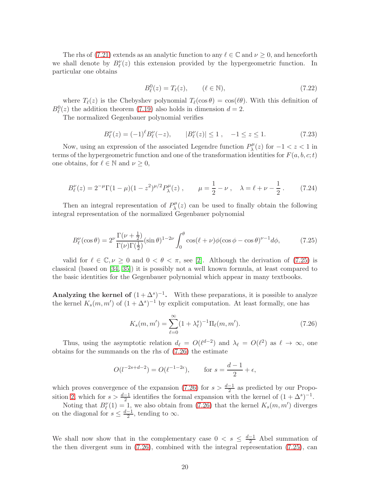The rhs of [\(7.21\)](#page-18-0) extends as an analytic function to any  $\ell \in \mathbb{C}$  and  $\nu \geq 0$ , and henceforth we shall denote by  $B_{\ell}^{\nu}(z)$  this extension provided by the hypergeometric function. In particular one obtains

$$
B_{\ell}^{0}(z) = T_{\ell}(z), \qquad (\ell \in \mathbb{N}), \qquad (7.22)
$$

where  $T_{\ell}(z)$  is the Chebyshev polynomial  $T_{\ell}(\cos \theta) = \cos(\ell \theta)$ . With this definition of  $B_{\ell}^{0}(z)$  the addition theorem [\(7.19\)](#page-18-1) also holds in dimension  $d=2$ .

The normalized Gegenbauer polynomial verifies

$$
B_{\ell}^{\nu}(z) = (-1)^{\ell} B_{\ell}^{\nu}(-z), \qquad |B_{\ell}^{\nu}(z)| \le 1, \quad -1 \le z \le 1. \tag{7.23}
$$

Now, using an expression of the associated Legendre function  $P_{\lambda}^{\mu}$  $\lambda^{p\mu}(z)$  for  $-1 < z < 1$  in terms of the hypergeometric function and one of the transformation identities for  $F(a, b, c; t)$ one obtains, for  $\ell \in \mathbb{N}$  and  $\nu \geq 0$ ,

$$
B_{\ell}^{\nu}(z) = 2^{-\mu} \Gamma(1 - \mu)(1 - z^2)^{\mu/2} P_{\lambda}^{\mu}(z) , \qquad \mu = \frac{1}{2} - \nu , \quad \lambda = \ell + \nu - \frac{1}{2} . \tag{7.24}
$$

Then an integral representation of  $P_{\lambda}^{\mu}$  $\lambda^{\mu}(z)$  can be used to finally obtain the following integral representation of the normalized Gegenbauer polynomial

<span id="page-19-0"></span>
$$
B_{\ell}^{\nu}(\cos\theta) = 2^{\nu} \frac{\Gamma(\nu + \frac{1}{2})}{\Gamma(\nu)\Gamma(\frac{1}{2})} (\sin\theta)^{1-2\nu} \int_0^{\theta} \cos(\ell + \nu) \phi(\cos\phi - \cos\theta)^{\nu-1} d\phi, \tag{7.25}
$$

valid for  $\ell \in \mathbb{C}, \nu \geq 0$  and  $0 < \theta < \pi$ , see [\[2\]](#page-23-11). Although the derivation of [\(7.25\)](#page-19-0) is classical (based on [\[34,](#page-25-11) [35\]](#page-25-12)) it is possibly not a well known formula, at least compared to the basic identities for the Gegenbauer polynomial which appear in many textbooks.

Analyzing the kernel of  $(1 + \Delta^s)^{-1}$ . With these preparations, it is possible to analyze the kernel  $K_s(m, m')$  of  $(1 + \Delta^s)^{-1}$  by explicit computation. At least formally, one has

<span id="page-19-1"></span>
$$
K_s(m, m') = \sum_{\ell=0}^{\infty} (1 + \lambda_\ell^s)^{-1} \Pi_\ell(m, m'). \tag{7.26}
$$

Thus, using the asymptotic relation  $d_{\ell} = O(\ell^{d-2})$  and  $\lambda_{\ell} = O(\ell^2)$  as  $\ell \to \infty$ , one obtains for the summands on the rhs of [\(7.26\)](#page-19-1) the estimate

$$
O(l^{-2s+d-2}) = O(\ell^{-1-2\epsilon}),
$$
 for  $s = \frac{d-1}{2} + \epsilon,$ 

which proves convergence of the expansion [\(7.26\)](#page-19-1) for  $s > \frac{d-1}{2}$  as predicted by our Propo-sition [2,](#page-10-2) which for  $s > \frac{d-1}{2}$  identifies the formal expansion with the kernel of  $(1 + \Delta^s)^{-1}$ .

Noting that  $B_{\ell}^{\nu}(1) = 1$ , we also obtain from [\(7.26\)](#page-19-1) that the kernel  $K_s(m, m')$  diverges on the diagonal for  $s \leq \frac{d-1}{2}$ , tending to  $\infty$ .

We shall now show that in the complementary case  $0 < s \leq \frac{d-1}{2}$  Abel summation of the then divergent sum in [\(7.26\)](#page-19-1), combined with the integral representation [\(7.25\)](#page-19-0), can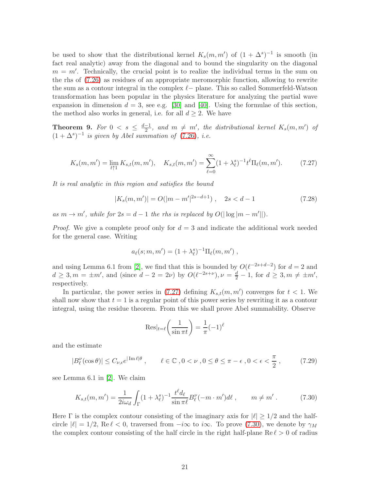be used to show that the distributional kernel  $K_s(m, m')$  of  $(1 + \Delta^s)^{-1}$  is smooth (in fact real analytic) away from the diagonal and to bound the singularity on the diagonal  $m = m'$ . Technically, the crucial point is to realize the individual terms in the sum on the rhs of [\(7.26\)](#page-19-1) as residues of an appropriate meromorphic function, allowing to rewrite the sum as a contour integral in the complex  $\ell$ - plane. This so called Sommerfeld-Watson transformation has been popular in the physics literature for analyzing the partial wave expansion in dimension  $d = 3$ , see e.g. [\[30\]](#page-25-13) and [\[40\]](#page-25-14). Using the formulae of this section, the method also works in general, i.e. for all  $d \geq 2$ . We have

**Theorem 9.** For  $0 \leq s \leq \frac{d-1}{2}$ , and  $m \neq m'$ , the distributional kernel  $K_s(m, m')$  of  $(1 + \Delta^s)^{-1}$  is given by Abel summation of [\(7.26\)](#page-19-1), i.e.

<span id="page-20-0"></span>
$$
K_s(m, m') = \lim_{t \uparrow 1} K_{s,t}(m, m'), \quad K_{s,t}(m, m') = \sum_{\ell=0}^{\infty} (1 + \lambda_{\ell}^s)^{-1} t^{\ell} \Pi_{\ell}(m, m'). \tag{7.27}
$$

It is real analytic in this region and satisfies the bound

<span id="page-20-3"></span>
$$
|K_s(m, m')| = O(|m - m'|^{2s - d + 1}), \quad 2s < d - 1
$$
\n(7.28)

as  $m \to m'$ , while for  $2s = d - 1$  the rhs is replaced by  $O(|\log |m - m'||)$ .

*Proof.* We give a complete proof only for  $d = 3$  and indicate the additional work needed for the general case. Writing

$$
a_{\ell}(s; m, m') = (1 + \lambda_{\ell}^{s})^{-1} \Pi_{\ell}(m, m'),
$$

and using Lemma 6.1 from [\[2\]](#page-23-11), we find that this is bounded by  $O(\ell^{-2s+d-2})$  for  $d=2$  and  $d \geq 3, m = \pm m'$ , and (since  $d - 2 = 2\nu$ ) by  $O(\ell^{-2s+\nu}), \nu = \frac{d}{2} - 1$ , for  $d \geq 3, m \neq \pm m'$ , respectively.

In particular, the power series in  $(7.27)$  defining  $K_{s,t}(m, m')$  converges for  $t < 1$ . We shall now show that  $t = 1$  is a regular point of this power series by rewriting it as a contour integral, using the residue theorem. From this we shall prove Abel summability. Observe

$$
Res|_{t=\ell}\left(\frac{1}{\sin \pi t}\right) = \frac{1}{\pi}(-1)^{\ell}
$$

and the estimate

<span id="page-20-2"></span>
$$
|B_{\ell}^{\nu}(\cos\theta)| \le C_{\nu,\epsilon}e^{|\operatorname{Im}\ell|\theta}, \qquad \ell \in \mathbb{C}, 0 < \nu, 0 \le \theta \le \pi - \epsilon, 0 < \epsilon < \frac{\pi}{2}, \tag{7.29}
$$

see Lemma 6.1 in [\[2\]](#page-23-11). We claim

<span id="page-20-1"></span>
$$
K_{s,t}(m,m') = \frac{1}{2i\omega_d} \int_{\Gamma} (1 + \lambda_{\ell}^s)^{-1} \frac{t^{\ell} d_{\ell}}{\sin \pi \ell} B_{\ell}^{\nu}(-m \cdot m') d\ell \,, \qquad m \neq m' \,. \tag{7.30}
$$

Here  $\Gamma$  is the complex contour consisting of the imaginary axis for  $|\ell| > 1/2$  and the halfcircle  $|\ell| = 1/2$ , Re  $\ell < 0$ , traversed from  $-i\infty$  to i $\infty$ . To prove [\(7.30\)](#page-20-1), we denote by  $\gamma_M$ the complex contour consisting of the half circle in the right half-plane  $\text{Re } \ell > 0$  of radius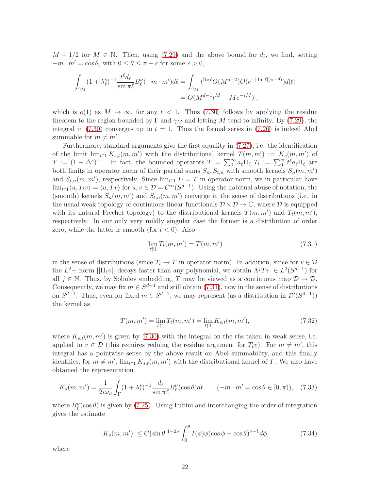$M + 1/2$  for  $M \in \mathbb{N}$ . Then, using [\(7.29\)](#page-20-2) and the above bound for  $d_{\ell}$ , we find, setting  $-m \cdot m' = \cos \theta$ , with  $0 \le \theta \le \pi - \epsilon$  for some  $\epsilon > 0$ ,

$$
\int_{\gamma_M} (1 + \lambda_\ell^s)^{-1} \frac{t^\ell d_\ell}{\sin \pi \ell} B_\ell^\nu(-m \cdot m') d\ell = \int_{\gamma_M} t^{\text{Re}\,\ell} O(M^{d-2}) O(e^{-|\operatorname{Im}\ell|(\pi - \theta)}) d|\ell|
$$
  
= 
$$
O(M^{d-1} t^M + M e^{-\epsilon M}),
$$

which is  $o(1)$  as  $M \to \infty$ , for any  $t < 1$ . Thus [\(7.30\)](#page-20-1) follows by applying the residue theorem to the region bounded by  $\Gamma$  and  $\gamma_M$  and letting M tend to infinity. By [\(7.29\)](#page-20-2), the integral in [\(7.30\)](#page-20-1) converges up to  $t = 1$ . Thus the formal series in [\(7.26\)](#page-19-1) is indeed Abel summable for  $m \neq m'$ .

Furthermore, standard arguments give the first equality in [\(7.27\)](#page-20-0), i.e. the identification of the limit  $\lim_{t \uparrow 1} K_{s,t}(m, m')$  with the distributional kernel  $T(m, m') := K_s(m, m')$  of  $T := (1 + \Delta^s)^{-1}$ . In fact, the bounded operators  $T = \sum_0^{\infty} a_{\ell} \Pi_{\ell}, T_t := \sum_0^{\infty} t^{\ell} a_{\ell} \Pi_{\ell}$  are both limits in operator norm of their partial sums  $S_n, S_{t,n}$  with smooth kernels  $S_n(m, m')$ and  $S_{t,n}(m,m')$ , respectively. Since  $\lim_{t\uparrow 1} T_t = T$  in operator norm, we in particular have  $\lim_{t\uparrow 1}\langle u, T_t v\rangle = \langle u, Tv\rangle$  for  $u, v \in \mathcal{D} = C^{\infty}(S^{d-1})$ . Using the habitual abuse of notation, the (smooth) kernels  $S_n(m, m')$  and  $S_{t,n}(m, m')$  converge in the sense of distributions (i.e. in the usual weak topology of continuous linear functionals  $\mathcal{D} \times \mathcal{D} \to \mathbb{C}$ , where  $\mathcal{D}$  is equipped with its natural Frechet topology) to the distributional kernels  $T(m, m')$  and  $T_t(m, m')$ , respectively. In our only very mildly singular case the former is a distribution of order zero, while the latter is smooth (for  $t < 0$ ). Also

<span id="page-21-0"></span>
$$
\lim_{t \uparrow 1} T_t(m, m') = T(m, m') \tag{7.31}
$$

in the sense of distributions (since  $T_t \to T$  in operator norm). In addition, since for  $v \in \mathcal{D}$ the  $L^2$ - norm  $||\Pi_{\ell}v||$  decays faster than any polynomial, we obtain  $\Lambda^j Tv \in L^2(S^{d-1})$  for all  $j \in \mathbb{N}$ . Thus, by Sobolev embedding, T may be viewed as a continuous map  $\mathcal{D} \to \mathcal{D}$ . Consequently, we may fix  $m \in S^{d-1}$  and still obtain [\(7.31\)](#page-21-0), now in the sense of distributions on  $S^{d-1}$ . Thus, even for fixed  $m \in S^{d-1}$ , we may represent (as a distribution in  $\mathcal{D}'(S^{d-1})$ ) the kernel as

$$
T(m, m') = \lim_{t \uparrow 1} T_t(m, m') = \lim_{t \uparrow 1} K_{s,t}(m, m'), \tag{7.32}
$$

where  $K_{s,t}(m, m')$  is given by [\(7.30\)](#page-20-1) with the integral on the rhs taken in weak sense, i.e. applied to  $v \in \mathcal{D}$  (this requires redoing the residue argument for  $T_t v$ ). For  $m \neq m'$ , this integral has a pointwise sense by the above result on Abel summability, and this finally identifies, for  $m \neq m'$ ,  $\lim_{t \uparrow 1} K_{s,t}(m, m')$  with the distributional kernel of T. We also have obtained the representation

$$
K_s(m, m') = \frac{1}{2i\omega_d} \int_{\Gamma} (1 + \lambda_{\ell}^s)^{-1} \frac{d_{\ell}}{\sin \pi \ell} B_{\ell}^{\nu}(\cos \theta) d\ell \qquad (-m \cdot m' = \cos \theta \in [0, \pi)), \quad (7.33)
$$

where  $B_{\ell}^{\nu}(\cos\theta)$  is given by [\(7.25\)](#page-19-0). Using Fubini and interchanging the order of integration gives the estimate

<span id="page-21-1"></span>
$$
|K_s(m, m')| \le C |\sin \theta|^{1-2\nu} \int_0^\theta I(\phi) \phi(\cos \phi - \cos \theta)^{\nu-1} d\phi,
$$
 (7.34)

where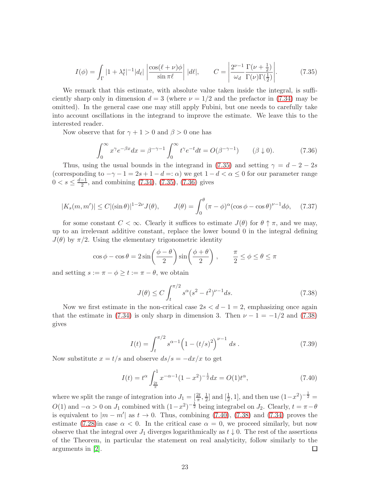<span id="page-22-0"></span>
$$
I(\phi) = \int_{\Gamma} |1 + \lambda_{\ell}^{s}|^{-1} |d_{\ell}| \left| \frac{\cos(\ell + \nu)\phi}{\sin \pi \ell} \right| |d\ell|, \qquad C = \left| \frac{2^{\nu - 1}}{\omega_d} \frac{\Gamma(\nu + \frac{1}{2})}{\Gamma(\nu)\Gamma(\frac{1}{2})} \right|.
$$
 (7.35)

We remark that this estimate, with absolute value taken inside the integral, is sufficiently sharp only in dimension  $d = 3$  (where  $\nu = 1/2$  and the prefactor in [\(7.34\)](#page-21-1) may be omitted). In the general case one may still apply Fubini, but one needs to carefully take into account oscillations in the integrand to improve the estimate. We leave this to the interested reader.

Now observe that for  $\gamma + 1 > 0$  and  $\beta > 0$  one has

<span id="page-22-1"></span>
$$
\int_0^\infty x^\gamma e^{-\beta x} dx = \beta^{-\gamma - 1} \int_0^\infty t^\gamma e^{-t} dt = O(\beta^{-\gamma - 1}) \qquad (\beta \downarrow 0). \tag{7.36}
$$

Thus, using the usual bounds in the integrand in [\(7.35\)](#page-22-0) and setting  $\gamma = d - 2 - 2s$ (corresponding to  $-\gamma - 1 = 2s + 1 - d =: \alpha$ ) we get  $1 - d < \alpha \leq 0$  for our parameter range  $0 < s \leq \frac{d-1}{2}$ , and combining [\(7.34\)](#page-21-1), [\(7.35\)](#page-22-0), [\(7.36\)](#page-22-1) gives

$$
|K_s(m, m')| \le C |(\sin \theta)|^{1-2\nu} J(\theta), \qquad J(\theta) = \int_0^{\theta} (\pi - \phi)^{\alpha} (\cos \phi - \cos \theta)^{\nu - 1} d\phi, \quad (7.37)
$$

for some constant  $C < \infty$ . Clearly it suffices to estimate  $J(\theta)$  for  $\theta \uparrow \pi$ , and we may, up to an irrelevant additive constant, replace the lower bound 0 in the integral defining  $J(\theta)$  by  $\pi/2$ . Using the elementary trigonometric identity

$$
\cos \phi - \cos \theta = 2 \sin \left( \frac{\phi - \theta}{2} \right) \sin \left( \frac{\phi + \theta}{2} \right), \qquad \frac{\pi}{2} \le \phi \le \theta \le \pi
$$

and setting  $s := \pi - \phi \ge t := \pi - \theta$ , we obtain

<span id="page-22-2"></span>
$$
J(\theta) \le C \int_{t}^{\pi/2} s^{\alpha} (s^2 - t^2)^{\nu - 1} ds. \tag{7.38}
$$

Now we first estimate in the non-critical case  $2s < d-1 = 2$ , emphasizing once again that the estimate in [\(7.34\)](#page-21-1) is only sharp in dimension 3. Then  $\nu - 1 = -1/2$  and [\(7.38\)](#page-22-2) gives

$$
I(t) = \int_{t}^{\pi/2} s^{\alpha - 1} \left( 1 - (t/s)^2 \right)^{\nu - 1} ds . \tag{7.39}
$$

Now substitute  $x = t/s$  and observe  $ds/s = -dx/x$  to get

<span id="page-22-3"></span>
$$
I(t) = t^{\alpha} \int_{\frac{2t}{\pi}}^{1} x^{-\alpha - 1} (1 - x^2)^{-\frac{1}{2}} dx = O(1)t^{\alpha},\tag{7.40}
$$

 $\frac{1}{2}$  and  $[\frac{1}{2}, 1]$ , and then use  $(1-x^2)^{-\frac{1}{2}} =$ where we split the range of integration into  $J_1 = \left[\frac{2t}{\pi}, \frac{1}{2}\right]$  $O(1)$  and  $-\alpha > 0$  on  $J_1$  combined with  $(1-x^2)^{-\frac{1}{2}}$  being integrabel on  $J_2$ . Clearly,  $t = \pi - \theta$ is equivalent to  $|m - m'|$  as  $t \to 0$ . Thus, combining [\(7.40\)](#page-22-3), [\(7.38\)](#page-22-2) and [\(7.34\)](#page-21-1) proves the estimate [\(7.28\)](#page-20-3)in case  $\alpha < 0$ . In the critical case  $\alpha = 0$ , we proceed similarly, but now observe that the integral over  $J_1$  diverges logarithmically as  $t \downarrow 0$ . The rest of the assertions of the Theorem, in particular the statement on real analyticity, follow similarly to the arguments in [\[2\]](#page-23-11).  $\Box$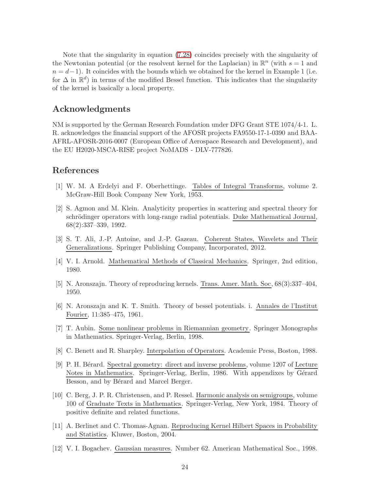Note that the singularity in equation [\(7.28\)](#page-20-3) coincides precisely with the singularity of the Newtonian potential (or the resolvent kernel for the Laplacian) in  $\mathbb{R}^n$  (with  $s=1$  and  $n = d-1$ ). It coincides with the bounds which we obtained for the kernel in Example 1 (i.e. for  $\Delta$  in  $\mathbb{R}^d$ ) in terms of the modified Bessel function. This indicates that the singularity of the kernel is basically a local property.

# Acknowledgments

NM is supported by the German Research Foundation under DFG Grant STE 1074/4-1. L. R. acknowledges the financial support of the AFOSR projects FA9550-17-1-0390 and BAA-AFRL-AFOSR-2016-0007 (European Office of Aerospace Research and Development), and the EU H2020-MSCA-RISE project NoMADS - DLV-777826.

# <span id="page-23-8"></span>References

- <span id="page-23-11"></span>[1] W. M. A Erdelyi and F. Oberhettinge. Tables of Integral Transforms, volume 2. McGraw-Hill Book Company New York, 1953.
- [2] S. Agmon and M. Klein. Analyticity properties in scattering and spectral theory for schrödinger operators with long-range radial potentials. Duke Mathematical Journal, 68(2):337–339, 1992.
- <span id="page-23-2"></span>[3] S. T. Ali, J.-P. Antoine, and J.-P. Gazeau. Coherent States, Wavelets and Their Generalizations. Springer Publishing Company, Incorporated, 2012.
- <span id="page-23-10"></span><span id="page-23-4"></span>[4] V. I. Arnold. Mathematical Methods of Classical Mechanics. Springer, 2nd edition, 1980.
- <span id="page-23-9"></span>[5] N. Aronszajn. Theory of reproducing kernels. Trans. Amer. Math. Soc, 68(3):337–404, 1950.
- [6] N. Aronszajn and K. T. Smith. Theory of bessel potentials. i. Annales de l'Institut Fourier, 11:385–475, 1961.
- <span id="page-23-6"></span><span id="page-23-5"></span>[7] T. Aubin. Some nonlinear problems in Riemannian geometry. Springer Monographs in Mathematics. Springer-Verlag, Berlin, 1998.
- <span id="page-23-7"></span>[8] C. Benett and R. Sharpley. Interpolation of Operators. Academic Press, Boston, 1988.
- [9] P. H. Bérard. Spectral geometry: direct and inverse problems, volume 1207 of Lecture Notes in Mathematics. Springer-Verlag, Berlin, 1986. With appendixes by Gérard Besson, and by Bérard and Marcel Berger.
- <span id="page-23-1"></span>[10] C. Berg, J. P. R. Christensen, and P. Ressel. Harmonic analysis on semigroups, volume 100 of Graduate Texts in Mathematics. Springer-Verlag, New York, 1984. Theory of positive definite and related functions.
- <span id="page-23-3"></span>[11] A. Berlinet and C. Thomas-Agnan. Reproducing Kernel Hilbert Spaces in Probability and Statistics. Kluwer, Boston, 2004.
- <span id="page-23-0"></span>[12] V. I. Bogachev. Gaussian measures. Number 62. American Mathematical Soc., 1998.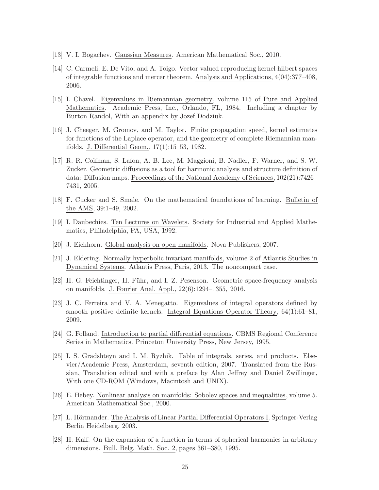- <span id="page-24-8"></span><span id="page-24-0"></span>[13] V. I. Bogachev. Gaussian Measures. American Mathematical Soc., 2010.
- [14] C. Carmeli, E. De Vito, and A. Toigo. Vector valued reproducing kernel hilbert spaces of integrable functions and mercer theorem. Analysis and Applications, 4(04):377–408, 2006.
- <span id="page-24-4"></span>[15] I. Chavel. Eigenvalues in Riemannian geometry, volume 115 of Pure and Applied Mathematics. Academic Press, Inc., Orlando, FL, 1984. Including a chapter by Burton Randol, With an appendix by Jozef Dodziuk.
- <span id="page-24-3"></span>[16] J. Cheeger, M. Gromov, and M. Taylor. Finite propagation speed, kernel estimates for functions of the Laplace operator, and the geometry of complete Riemannian manifolds. J. Differential Geom., 17(1):15–53, 1982.
- <span id="page-24-7"></span>[17] R. R. Coifman, S. Lafon, A. B. Lee, M. Maggioni, B. Nadler, F. Warner, and S. W. Zucker. Geometric diffusions as a tool for harmonic analysis and structure definition of data: Diffusion maps. Proceedings of the National Academy of Sciences, 102(21):7426– 7431, 2005.
- <span id="page-24-2"></span><span id="page-24-1"></span>[18] F. Cucker and S. Smale. On the mathematical foundations of learning. Bulletin of the AMS, 39:1–49, 2002.
- <span id="page-24-5"></span>[19] I. Daubechies. Ten Lectures on Wavelets. Society for Industrial and Applied Mathematics, Philadelphia, PA, USA, 1992.
- <span id="page-24-15"></span>[20] J. Eichhorn. Global analysis on open manifolds. Nova Publishers, 2007.
- [21] J. Eldering. Normally hyperbolic invariant manifolds, volume 2 of Atlantis Studies in Dynamical Systems. Atlantis Press, Paris, 2013. The noncompact case.
- <span id="page-24-13"></span><span id="page-24-9"></span>[22] H. G. Feichtinger, H. Führ, and I. Z. Pesenson. Geometric space-frequency analysis on manifolds. J. Fourier Anal. Appl., 22(6):1294–1355, 2016.
- [23] J. C. Ferreira and V. A. Menegatto. Eigenvalues of integral operators defined by smooth positive definite kernels. Integral Equations Operator Theory, 64(1):61–81, 2009.
- <span id="page-24-12"></span><span id="page-24-11"></span>[24] G. Folland. Introduction to partial differential equations. CBMS Regional Conference Series in Mathematics. Princeton University Press, New Jersey, 1995.
- [25] I. S. Gradshteyn and I. M. Ryzhik. Table of integrals, series, and products. Elsevier/Academic Press, Amsterdam, seventh edition, 2007. Translated from the Russian, Translation edited and with a preface by Alan Jeffrey and Daniel Zwillinger, With one CD-ROM (Windows, Macintosh and UNIX).
- <span id="page-24-6"></span>[26] E. Hebey. Nonlinear analysis on manifolds: Sobolev spaces and inequalities, volume 5. American Mathematical Soc., 2000.
- <span id="page-24-10"></span>[27] L. Hörmander. The Analysis of Linear Partial Differential Operators I. Springer-Verlag Berlin Heidelberg, 2003.
- <span id="page-24-14"></span>[28] H. Kalf. On the expansion of a function in terms of spherical harmonics in arbitrary dimensions. Bull. Belg. Math. Soc. 2, pages 361–380, 1995.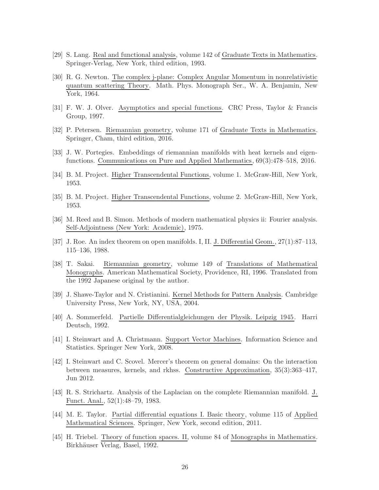- <span id="page-25-13"></span><span id="page-25-7"></span>[29] S. Lang. Real and functional analysis, volume 142 of Graduate Texts in Mathematics. Springer-Verlag, New York, third edition, 1993.
- [30] R. G. Newton. The complex j-plane: Complex Angular Momentum in nonrelativistic quantum scattering Theory. Math. Phys. Monograph Ser., W. A. Benjamin, New York, 1964.
- <span id="page-25-10"></span><span id="page-25-4"></span>[31] F. W. J. Olver. Asymptotics and special functions. CRC Press, Taylor & Francis Group, 1997.
- <span id="page-25-9"></span>[32] P. Petersen. Riemannian geometry, volume 171 of Graduate Texts in Mathematics. Springer, Cham, third edition, 2016.
- <span id="page-25-11"></span>[33] J. W. Portegies. Embeddings of riemannian manifolds with heat kernels and eigenfunctions. Communications on Pure and Applied Mathematics, 69(3):478–518, 2016.
- <span id="page-25-12"></span>[34] B. M. Project. Higher Transcendental Functions, volume 1. McGraw-Hill, New York, 1953.
- <span id="page-25-6"></span>[35] B. M. Project. Higher Transcendental Functions, volume 2. McGraw-Hill, New York, 1953.
- [36] M. Reed and B. Simon. Methods of modern mathematical physics ii: Fourier analysis. Self-Adjointness (New York: Academic), 1975.
- <span id="page-25-16"></span><span id="page-25-3"></span>[37] J. Roe. An index theorem on open manifolds. I, II. J. Differential Geom., 27(1):87–113, 115–136, 1988.
- [38] T. Sakai. Riemannian geometry, volume 149 of Translations of Mathematical Monographs. American Mathematical Society, Providence, RI, 1996. Translated from the 1992 Japanese original by the author.
- <span id="page-25-14"></span><span id="page-25-1"></span>[39] J. Shawe-Taylor and N. Cristianini. Kernel Methods for Pattern Analysis. Cambridge University Press, New York, NY, USA, 2004.
- <span id="page-25-0"></span>[40] A. Sommerfeld. Partielle Differentialgleichungen der Physik. Leipzig 1945. Harri Deutsch, 1992.
- <span id="page-25-15"></span>[41] I. Steinwart and A. Christmann. Support Vector Machines. Information Science and Statistics. Springer New York, 2008.
- [42] I. Steinwart and C. Scovel. Mercer's theorem on general domains: On the interaction between measures, kernels, and rkhss. Constructive Approximation, 35(3):363–417, Jun 2012.
- <span id="page-25-5"></span>[43] R. S. Strichartz. Analysis of the Laplacian on the complete Riemannian manifold. J. Funct. Anal., 52(1):48–79, 1983.
- <span id="page-25-8"></span>[44] M. E. Taylor. Partial differential equations I. Basic theory, volume 115 of Applied Mathematical Sciences. Springer, New York, second edition, 2011.
- <span id="page-25-2"></span>[45] H. Triebel. Theory of function spaces. II, volume 84 of Monographs in Mathematics. Birkhäuser Verlag, Basel, 1992.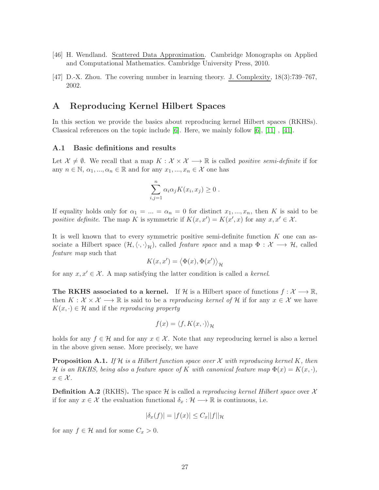- <span id="page-26-2"></span><span id="page-26-0"></span>[46] H. Wendland. Scattered Data Approximation. Cambridge Monographs on Applied and Computational Mathematics. Cambridge University Press, 2010.
- [47] D.-X. Zhou. The covering number in learning theory. J. Complexity, 18(3):739–767, 2002.

# <span id="page-26-1"></span>A Reproducing Kernel Hilbert Spaces

In this section we provide the basics about reproducing kernel Hilbert spaces (RKHSs). Classical references on the topic include [\[6\]](#page-23-9). Here, we mainly follow [\[6\]](#page-23-9), [\[11\]](#page-23-3) , [\[41\]](#page-25-0).

### A.1 Basic definitions and results

Let  $\mathcal{X} \neq \emptyset$ . We recall that a map  $K : \mathcal{X} \times \mathcal{X} \longrightarrow \mathbb{R}$  is called *positive semi-definite* if for any  $n \in \mathbb{N}, \alpha_1, ..., \alpha_n \in \mathbb{R}$  and for any  $x_1, ..., x_n \in \mathcal{X}$  one has

$$
\sum_{i,j=1}^n \alpha_i \alpha_j K(x_i, x_j) \ge 0.
$$

If equality holds only for  $\alpha_1 = ... = \alpha_n = 0$  for distinct  $x_1, ..., x_n$ , then K is said to be positive definite. The map K is symmetric if  $K(x, x') = K(x', x)$  for any  $x, x' \in \mathcal{X}$ .

It is well known that to every symmetric positive semi-definite function  $K$  one can associate a Hilbert space  $(\mathcal{H}, \langle \cdot, \cdot \rangle_{\mathcal{H}})$ , called *feature space* and a map  $\Phi : \mathcal{X} \longrightarrow \mathcal{H}$ , called feature map such that

$$
K(x, x') = \langle \Phi(x), \Phi(x') \rangle_{\mathcal{H}}
$$

for any  $x, x' \in \mathcal{X}$ . A map satisfying the latter condition is called a kernel.

The RKHS associated to a kernel. If H is a Hilbert space of functions  $f: \mathcal{X} \longrightarrow \mathbb{R}$ , then  $K: \mathcal{X} \times \mathcal{X} \longrightarrow \mathbb{R}$  is said to be a reproducing kernel of H if for any  $x \in \mathcal{X}$  we have  $K(x, \cdot) \in \mathcal{H}$  and if the reproducing property

$$
f(x) = \langle f, K(x, \cdot) \rangle_{\mathcal{H}}
$$

holds for any  $f \in \mathcal{H}$  and for any  $x \in \mathcal{X}$ . Note that any reproducing kernel is also a kernel in the above given sense. More precisely, we have

**Proposition A.1.** If H is a Hilbert function space over X with reproducing kernel K, then H is an RKHS, being also a feature space of K with canonical feature map  $\Phi(x) = K(x, \cdot)$ ,  $x \in \mathcal{X}$ .

**Definition A.2** (RKHS). The space  $\mathcal{H}$  is called a reproducing kernel Hilbert space over X if for any  $x \in \mathcal{X}$  the evaluation functional  $\delta_x : \mathcal{H} \longrightarrow \mathbb{R}$  is continuous, i.e.

$$
|\delta_x(f)| = |f(x)| \le C_x ||f||_{\mathcal{H}}
$$

for any  $f \in \mathcal{H}$  and for some  $C_x > 0$ .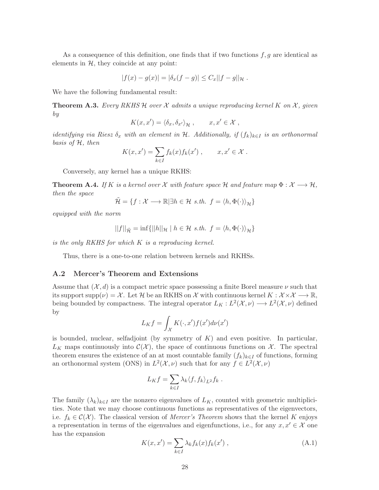As a consequence of this definition, one finds that if two functions  $f, g$  are identical as elements in  $H$ , they coincide at any point:

$$
|f(x) - g(x)| = |\delta_x(f - g)| \le C_x ||f - g||_{\mathcal{H}}.
$$

We have the following fundamental result:

**Theorem A.3.** Every RKHS H over X admits a unique reproducing kernel K on X, given by

$$
K(x, x') = \langle \delta_x, \delta_{x'} \rangle_{\mathcal{H}}, \qquad x, x' \in \mathcal{X},
$$

identifying via Riesz  $\delta_x$  with an element in H. Additionally, if  $(f_k)_{k\in I}$  is an orthonormal basis of H, then

$$
K(x, x') = \sum_{k \in I} f_k(x) f_k(x'), \qquad x, x' \in \mathcal{X}.
$$

Conversely, any kernel has a unique RKHS:

<span id="page-27-1"></span>**Theorem A.4.** If K is a kernel over X with feature space H and feature map  $\Phi : \mathcal{X} \longrightarrow \mathcal{H}$ , then the space

$$
\tilde{\mathcal{H}} = \{ f : \mathcal{X} \longrightarrow \mathbb{R} \vert \exists h \in \mathcal{H} \ s.th. \ f = \langle h, \Phi(\cdot) \rangle_{\mathcal{H}} \}
$$

equipped with the norm

$$
||f||_{\tilde{\mathcal{H}}} = \inf \{ ||h||_{\mathcal{H}} \mid h \in \mathcal{H} \text{ s.th. } f = \langle h, \Phi(\cdot) \rangle_{\mathcal{H}} \}
$$

is the only RKHS for which K is a reproducing kernel.

Thus, there is a one-to-one relation between kernels and RKHSs.

#### A.2 Mercer's Theorem and Extensions

Assume that  $(\mathcal{X}, d)$  is a compact metric space possessing a finite Borel measure  $\nu$  such that its support supp $(\nu) = \mathcal{X}$ . Let H be an RKHS on X with continuous kernel  $K : \mathcal{X} \times \mathcal{X} \longrightarrow \mathbb{R}$ , being bounded by compactness. The integral operator  $L_K : L^2(\mathcal{X}, \nu) \longrightarrow L^2(\mathcal{X}, \nu)$  defined by

$$
L_K f = \int_{\mathcal{X}} K(\cdot, x') f(x') d\nu(x')
$$

is bounded, nuclear, selfadjoint (by symmetry of  $K$ ) and even positive. In particular,  $L_K$  maps continuously into  $\mathcal{C}(\mathcal{X})$ , the space of continuous functions on X. The spectral theorem ensures the existence of an at most countable family  $(f_k)_{k\in I}$  of functions, forming an orthonormal system (ONS) in  $L^2(\mathcal{X}, \nu)$  such that for any  $f \in L^2(\mathcal{X}, \nu)$ 

$$
L_K f = \sum_{k \in I} \lambda_k \langle f, f_k \rangle_{L^2} f_k.
$$

The family  $(\lambda_k)_{k\in I}$  are the nonzero eigenvalues of  $L_K$ , counted with geometric multiplicities. Note that we may choose continuous functions as representatives of the eigenvectors, i.e.  $f_k \in \mathcal{C}(\mathcal{X})$ . The classical version of *Mercer's Theorem* shows that the kernel K enjoys a representation in terms of the eigenvalues and eigenfunctions, i.e., for any  $x, x' \in \mathcal{X}$  one has the expansion

<span id="page-27-0"></span>
$$
K(x, x') = \sum_{k \in I} \lambda_k f_k(x) f_k(x'), \qquad (A.1)
$$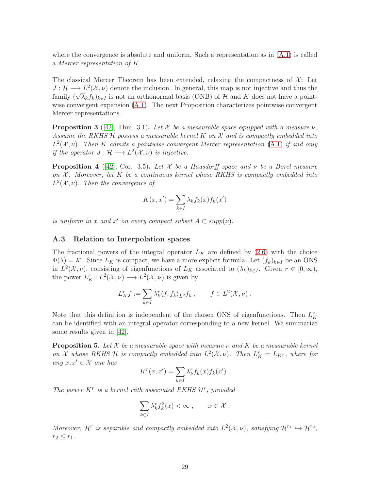where the convergence is absolute and uniform. Such a representation as in  $(A.1)$  is called a Mercer representation of K.

The classical Mercer Theorem has been extended, relaxing the compactness of  $\mathcal{X}$ : Let  $J: \mathcal{H} \longrightarrow L^2(\mathcal{X}, \nu)$  denote the inclusion. In general, this map is not injective and thus the family  $(\sqrt{\lambda_k} f_k)_{k\in I}$  is not an orthonormal basis (ONB) of H and K does not have a pointwise convergent expansion [\(A.1\)](#page-27-0). The next Proposition characterizes pointwise convergent Mercer representations.

**Proposition 3** ([\[42\]](#page-25-15), Thm. 3.1). Let X be a measurable space equipped with a measure  $\nu$ . Assume the RKHS  $H$  possess a measurable kernel K on X and is compactly embedded into  $L^2(\mathcal{X}, \nu)$ . Then K admits a pointwise convergent Mercer representation [\(A.1\)](#page-27-0) if and only if the operator  $J: \mathcal{H} \longrightarrow L^2(\mathcal{X}, \nu)$  is injective.

**Proposition 4** ([\[42\]](#page-25-15), Cor. 3.5). Let X be a Hausdorff space and  $\nu$  be a Borel measure on  $\mathcal{X}$ . Moreover, let K be a continuous kernel whose RKHS is compactly embedded into  $L^2(\mathcal{X}, \nu)$ . Then the convergence of

$$
K(x, x') = \sum_{k \in I} \lambda_k f_k(x) f_k(x')
$$

is uniform in x and x' on every compact subset  $A \subset supp(\nu)$ .

#### A.3 Relation to Interpolation spaces

The fractional powers of the integral operator  $L_K$  are defined by [\(2.6\)](#page-3-3) with the choice  $\Phi(\lambda) = \lambda^r$ . Since  $L_K$  is compact, we have a more explicit formula. Let  $(f_k)_{k \in I}$  be an ONS in  $L^2(\mathcal{X}, \nu)$ , consisting of eigenfunctions of  $L_K$  associated to  $(\lambda_k)_{k\in I}$ . Given  $r \in [0, \infty)$ , the power  $L_K^r: L^2(\mathcal{X}, \nu) \longrightarrow L^2(\mathcal{X}, \nu)$  is given by

$$
L_K^r f := \sum_{k \in I} \lambda_k^r \langle f, f_k \rangle_{L^2} f_k , \qquad f \in L^2(\mathcal{X}, \nu) .
$$

Note that this definition is independent of the chosen ONS of eigenfunctions. Then  $L_K^r$ can be identified with an integral operator corresponding to a new kernel. We summarize some results given in [\[42\]](#page-25-15).

**Proposition 5.** Let X be a measurable space with measure  $\nu$  and K be a measurable kernel on X whose RKHS H is compactly embedded into  $L^2(\mathcal{X}, \nu)$ . Then  $L_K^r = L_{K^r}$ , where for any  $x, x' \in \mathcal{X}$  one has

$$
K^{r}(x, x') = \sum_{k \in I} \lambda_{k}^{r} f_{k}(x) f_{k}(x') .
$$

The power  $K^r$  is a kernel with associated RKHS  $\mathcal{H}^r$ , provided

$$
\sum_{k\in I} \lambda_k^r f_k^2(x) < \infty \,, \qquad x \in \mathcal{X} \,.
$$

Moreover,  $\mathcal{H}^r$  is separable and compactly embedded into  $L^2(\mathcal{X}, \nu)$ , satisfying  $\mathcal{H}^{r_1} \hookrightarrow \mathcal{H}^{r_2}$ ,  $r_2 \leq r_1$ .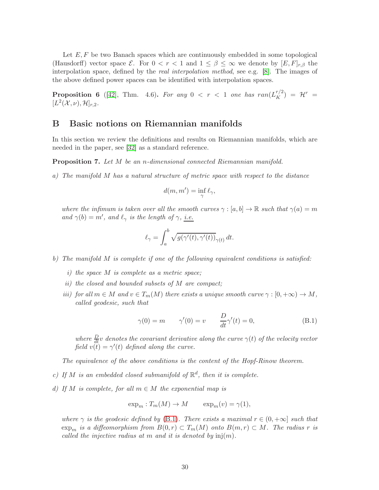Let  $E, F$  be two Banach spaces which are continuously embedded in some topological (Hausdorff) vector space  $\mathcal{E}$ . For  $0 < r < 1$  and  $1 \leq \beta \leq \infty$  we denote by  $[E, F]_{r,\beta}$  the interpolation space, defined by the real interpolation method, see e.g. [\[8\]](#page-23-6). The images of the above defined power spaces can be identified with interpolation spaces.

<span id="page-29-5"></span>**Proposition 6** ([\[42\]](#page-25-15), Thm. 4.6). For any  $0 < r < 1$  one has  $ran(L_K^{r/2}) = H^r =$  $[L^2(\mathcal{X}, \nu), \mathcal{H}]_{r,2}.$ 

# <span id="page-29-1"></span>B Basic notions on Riemannian manifolds

In this section we review the definitions and results on Riemannian manifolds, which are needed in the paper, see [\[32\]](#page-25-4) as a standard reference.

<span id="page-29-2"></span><span id="page-29-0"></span>Proposition 7. Let M be an n-dimensional connected Riemannian manifold.

a) The manifold M has a natural structure of metric space with respect to the distance

$$
d(m, m') = \inf_{\gamma} \ell_{\gamma},
$$

where the infimum is taken over all the smooth curves  $\gamma : [a, b] \to \mathbb{R}$  such that  $\gamma(a) = m$ and  $\gamma(b) = m'$ , and  $\ell_{\gamma}$  is the length of  $\gamma$ , i.e.

$$
\ell_\gamma = \int_a^b \sqrt{g(\gamma'(t),\gamma'(t))}_{\gamma(t)}\,dt.
$$

<span id="page-29-3"></span>b) The manifold M is complete if one of the following equivalent conditions is satisfied:

- i) the space M is complete as a metric space;
- ii) the closed and bounded subsets of M are compact;
- iii) for all  $m \in M$  and  $v \in T_m(M)$  there exists a unique smooth curve  $\gamma : [0, +\infty) \to M$ , called geodesic, such that

<span id="page-29-6"></span>
$$
\gamma(0) = m \qquad \gamma'(0) = v \qquad \frac{D}{dt}\gamma'(t) = 0,\tag{B.1}
$$

where  $\frac{D}{dt}v$  denotes the covariant derivative along the curve  $\gamma(t)$  of the velocity vector field  $v(t) = \gamma'(t)$  defined along the curve.

The equivalence of the above conditions is the content of the Hopf-Rinow theorem.

- <span id="page-29-4"></span>c) If M is an embedded closed submanifold of  $\mathbb{R}^d$ , then it is complete.
- d) If M is complete, for all  $m \in M$  the exponential map is

$$
\exp_m: T_m(M) \to M \qquad \exp_m(v) = \gamma(1),
$$

where  $\gamma$  is the geodesic defined by [\(B.1\)](#page-29-6). There exists a maximal  $r \in (0, +\infty]$  such that  $\exp_m$  is a diffeomorphism from  $B(0,r) \subset T_m(M)$  onto  $B(m,r) \subset M$ . The radius r is called the injective radius at m and it is denoted by  $\text{inj}(m)$ .